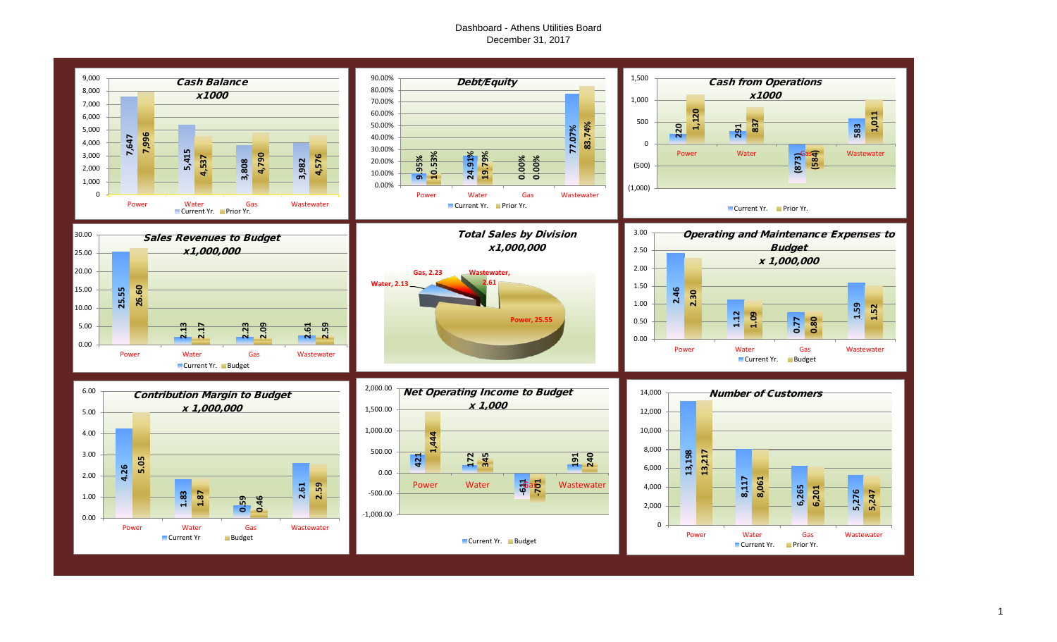#### Dashboard - Athens Utilities Board December 31, 2017

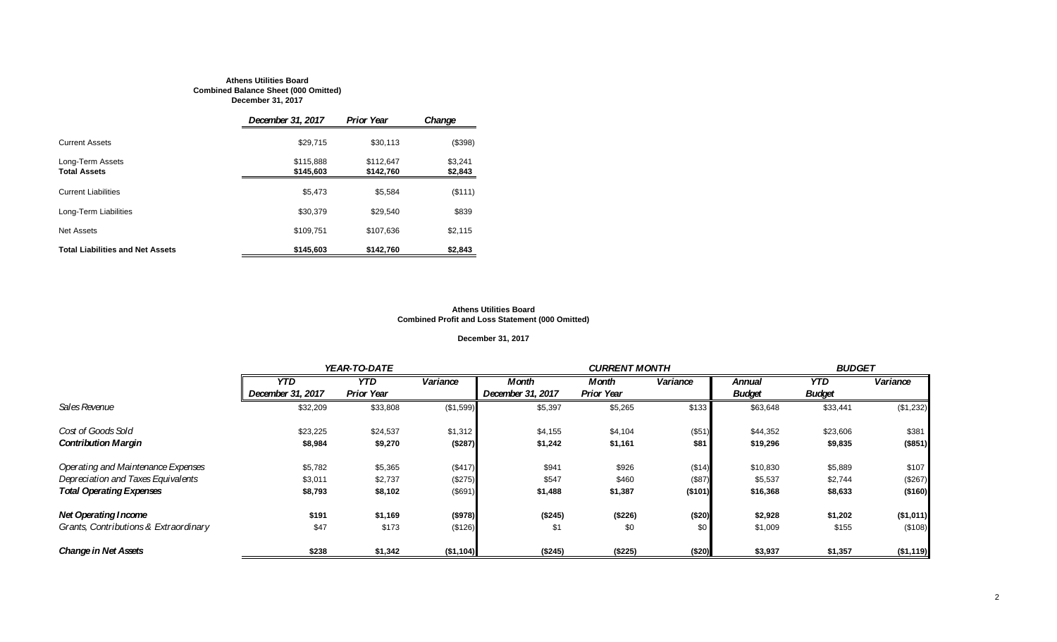#### **Athens Utilities Board Combined Balance Sheet (000 Omitted) December 31, 2017**

|                                         | December 31, 2017      | <b>Prior Year</b>      | Change             |
|-----------------------------------------|------------------------|------------------------|--------------------|
| <b>Current Assets</b>                   | \$29,715               | \$30.113               | (\$398)            |
| Long-Term Assets<br><b>Total Assets</b> | \$115,888<br>\$145,603 | \$112.647<br>\$142,760 | \$3.241<br>\$2,843 |
| <b>Current Liabilities</b>              | \$5.473                | \$5,584                | (\$111)            |
| Long-Term Liabilities                   | \$30,379               | \$29,540               | \$839              |
| <b>Net Assets</b>                       | \$109,751              | \$107,636              | \$2,115            |
| <b>Total Liabilities and Net Assets</b> | \$145,603              | \$142,760              | \$2,843            |

#### **Athens Utilities Board Combined Profit and Loss Statement (000 Omitted)**

#### **December 31, 2017**

|                                       |                   | YEAR-TO-DATE      |           |                   | <b>CURRENT MONTH</b> |          |               | <b>BUDGET</b> |           |  |
|---------------------------------------|-------------------|-------------------|-----------|-------------------|----------------------|----------|---------------|---------------|-----------|--|
|                                       | <b>YTD</b>        | <b>YTD</b>        | Variance  | Month             | Month                | Variance | <b>Annual</b> | YTD.          | Variance  |  |
|                                       | December 31, 2017 | <b>Prior Year</b> |           | December 31, 2017 | <b>Prior Year</b>    |          | <b>Budget</b> | <b>Budget</b> |           |  |
| Sales Revenue                         | \$32,209          | \$33,808          | (\$1,599) | \$5,397           | \$5,265              | \$133    | \$63,648      | \$33,441      | (\$1,232) |  |
| Cost of Goods Sold                    | \$23,225          | \$24,537          | \$1,312   | \$4,155           | \$4,104              | (\$51)   | \$44,352      | \$23,606      | \$381     |  |
| <b>Contribution Margin</b>            | \$8,984           | \$9,270           | (\$287)   | \$1,242           | \$1,161              | \$81     | \$19,296      | \$9,835       | (\$851)   |  |
| Operating and Maintenance Expenses    | \$5,782           | \$5,365           | (\$417)   | \$941             | \$926                | (\$14)   | \$10,830      | \$5,889       | \$107     |  |
| Depreciation and Taxes Equivalents    | \$3,011           | \$2,737           | (\$275)   | \$547             | \$460                | (\$87)   | \$5,537       | \$2,744       | (\$267)   |  |
| <b>Total Operating Expenses</b>       | \$8,793           | \$8,102           | (\$691)   | \$1,488           | \$1,387              | ( \$101) | \$16,368      | \$8,633       | ( \$160)  |  |
| <b>Net Operating Income</b>           | \$191             | \$1,169           | (\$978)   | (\$245)           | (\$226)              | (\$20)   | \$2,928       | \$1,202       | (\$1,011) |  |
| Grants, Contributions & Extraordinary | \$47              | \$173             | (\$126)   | \$1               | \$0                  | \$0      | \$1,009       | \$155         | (\$108)   |  |
| <b>Change in Net Assets</b>           | \$238             | \$1,342           | (\$1,104) | (\$245)           | (\$225)              | (\$20)   | \$3,937       | \$1,357       | (\$1,119) |  |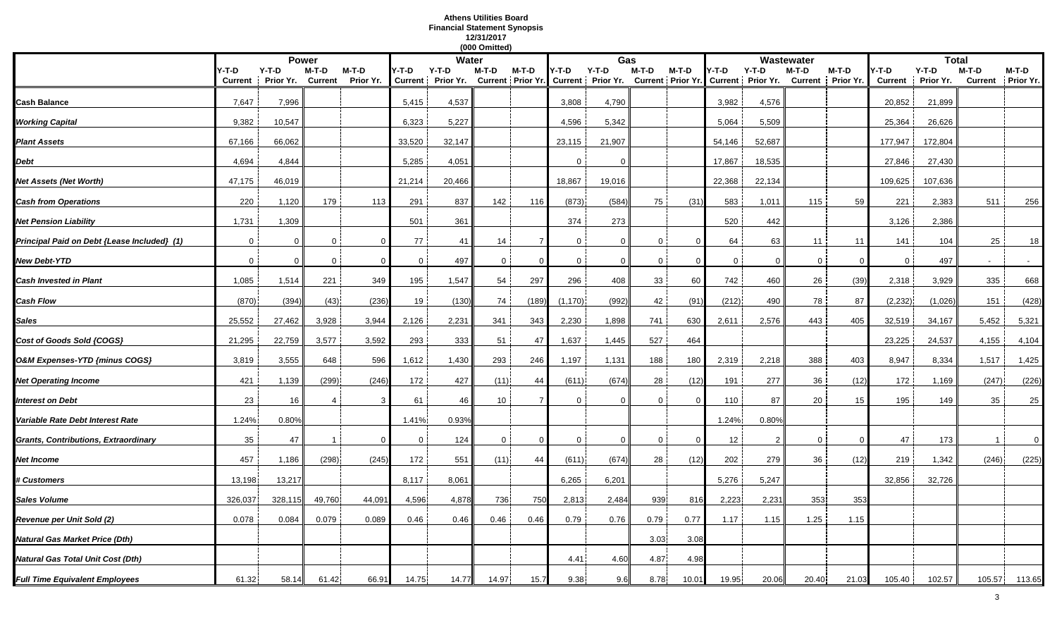### **Athens Utilities Board Financial Statement Synopsis 12/31/2017**

|                                             |                |           |                |                |                |                   | (000 Omitted)  |                |              |                                     |                |                          |              |                   |              |                   |                |              |                |           |
|---------------------------------------------|----------------|-----------|----------------|----------------|----------------|-------------------|----------------|----------------|--------------|-------------------------------------|----------------|--------------------------|--------------|-------------------|--------------|-------------------|----------------|--------------|----------------|-----------|
|                                             |                |           | <b>Power</b>   |                |                | Water             |                |                |              | Gas                                 |                |                          |              |                   | Wastewater   |                   |                | <b>Total</b> |                |           |
|                                             | Y-T-D          | $Y-T-D$   | M-T-D          | M-T-D          | Y-T-D          | Y-T-D             | M-T-D          | $M-T-D$        | Y-T-D        | $Y-T-D$                             | M-T-D          | M-T-D                    | Y-T-D        | $Y-T-D$           | M-T-D        | $M-T-D$           | Y-T-D          | $Y-T-D$      | $M-T-D$        | M-T-D     |
|                                             | <b>Current</b> | Prior Yr. | <b>Current</b> | Prior Yr.      |                | Current Prior Yr. |                |                |              | Current Prior Yr. Current Prior Yr. |                | <b>Current Prior Yr.</b> |              | Current Prior Yr. |              | Current Prior Yr. | <b>Current</b> | Prior Yr.    | <b>Current</b> | Prior Yr. |
| <b>Cash Balance</b>                         | 7,647          | 7,996     |                |                | 5,415          | 4,537             |                |                | 3,808        | 4,790                               |                |                          | 3,982        | 4,576             |              |                   | 20,852         | 21,899       |                |           |
| <b>Working Capital</b>                      | 9,382          | 10,547    |                |                | 6,323          | 5,227             |                |                | 4,596        | 5,342                               |                |                          | 5,064        | 5,509             |              |                   | 25,364         | 26,626       |                |           |
|                                             |                |           |                |                |                |                   |                |                |              |                                     |                |                          |              |                   |              |                   |                |              |                |           |
| <b>Plant Assets</b>                         | 67,166         | 66,062    |                |                | 33,520         | 32,147            |                |                | 23,115       | 21,907                              |                |                          | 54,146       | 52,687            |              |                   | 177,947        | 172,804      |                |           |
| Debt                                        | 4,694          | 4,844     |                |                | 5,285          | 4,051             |                |                | $\Omega$     | - 0                                 |                |                          | 17,867       | 18,535            |              |                   | 27,846         | 27,430       |                |           |
| Net Assets (Net Worth)                      | 47,175         | 46,019    |                |                | 21,214         | 20,466            |                |                | 18,867       | 19,016                              |                |                          | 22,368       | 22,134            |              |                   | 109,625        | 107,636      |                |           |
| <b>Cash from Operations</b>                 | 220            | 1,120     | 179            | 113            | 291            | 837               | 142            | 116            | (873)        | (584)                               | 75             | (31)                     | 583          | 1,011             | 115          | 59                | 221            | 2,383        | 511            | 256       |
| Net Pension Liability                       | 1,731          | 1,309     |                |                | 501            | 361               |                |                | 374          | 273                                 |                |                          | 520          | 442               |              |                   | 3,126          | 2,386        |                |           |
| Principal Paid on Debt {Lease Included} (1) | $\Omega$       | $\Omega$  | $\Omega$       | $\Omega$       | 77             | 41                | 14             |                | $\Omega$     | $\Omega$                            | $\Omega$       |                          | 64           | 63                | 11           | 11                | 141            | 104          | 25             | 18        |
| <b>New Debt-YTD</b>                         | $\Omega$       | $\Omega$  | $\mathbf 0$    | $\overline{0}$ | $\overline{0}$ | 497               | $\mathbf{0}$   | $\Omega$       | $\mathbf{0}$ | $\mathbf 0$                         | $\overline{0}$ |                          | $\mathbf{0}$ | $\mathbf{0}$      | $\mathbf{0}$ | $\Omega$          | $\mathbf{0}$   | 497          |                |           |
| Cash Invested in Plant                      | 1,085          | 1,514     | 221            | 349            | 195            | 1,547             | 54             | 297            | 296          | 408                                 | 33             | 60                       | 742          | 460               | 26           | (39)              | 2,318          | 3,929        | 335            | 668       |
| Cash Flow                                   | (870)          | (394)     | (43)           | (236)          | 19             | (130)             | 74             | (189)          | (1, 170)     | (992)                               | 42             | (91)                     | (212)        | 490               | 78           | 87                | (2, 232)       | (1,026)      | 151            | (428)     |
| <b>Sales</b>                                | 25,552         | 27,462    | 3,928          | 3,944          | 2,126          | 2,231             | 341            | 343            | 2,230        | 1,898                               | 741            | 630                      | 2,611        | 2,576             | 443          | 405               | 32,519         | 34,167       | 5,452          | 5,321     |
| Cost of Goods Sold {COGS}                   | 21,295         | 22,759    | 3,577          | 3,592          | 293            | 333               | 51             | 47             | 1,637        | 1,445                               | 527            | 464                      |              |                   |              |                   | 23,225         | 24,537       | 4,155          | 4,104     |
| O&M Expenses-YTD {minus COGS}               | 3,819          | 3,555     | 648            | 596            | 1,612          | 1,430             | 293            | 246            | 1,197        | 1,131                               | 188            | 180                      | 2,319        | 2,218             | 388          | 403               | 8,947          | 8,334        | 1,517          | 1,425     |
| <b>Net Operating Income</b>                 | 421            | 1,139     | (299)          | (246)          | 172            | 427               | (11)           | 44             | (611)        | (674)                               | 28             | (12)                     | 191          | 277               | 36           | (12)              | 172            | 1,169        | (247)          | (226)     |
| Interest on Debt                            | 23             | 16        |                | 3              | 61             | 46                | 10             |                | $\Omega$     | $\Omega$                            |                |                          | 110          | 87                | 20           | 15                | 195            | 149          | 35             | 25        |
| Variable Rate Debt Interest Rate            | 1.24%          | 0.80%     |                |                | 1.41%          | 0.93%             |                |                |              |                                     |                |                          | 1.24%        | 0.80%             |              |                   |                |              |                |           |
| <b>Grants, Contributions, Extraordinary</b> | 35             | 47        |                | $\Omega$       | $\overline{0}$ | 124               | $\overline{0}$ | $\overline{0}$ | $\mathbf{0}$ | $\mathbf{0}$                        | $\overline{0}$ | $\Omega$                 | 12           | $\overline{2}$    | $\mathbf{0}$ | $\mathbf{0}$      | 47             | 173          | $\mathbf{1}$   | $\Omega$  |
| Net Income                                  | 457            | 1,186     | (298)          | (245)          | 172            | 551               | (11)           | 44             | (611)        | (674)                               | 28             | (12)                     | 202          | 279               | 36           | (12)              | 219            | 1,342        | (246)          | (225)     |
| <b># Customers</b>                          | 13,198         | 13,217    |                |                | 8,117          | 8,061             |                |                | 6,265        | 6,201                               |                |                          | 5,276        | 5,247             |              |                   | 32,856         | 32,726       |                |           |
| <b>Sales Volume</b>                         | 326,037        | 328,115   | 49,760         | 44,091         | 4,596          | 4,878             | 736            | 750            | 2,813        | 2,484                               | 939            | 816                      | 2,223        | 2,231             | 353          | 353               |                |              |                |           |
| Revenue per Unit Sold (2)                   | 0.078          | 0.084     | 0.079          | 0.089          | 0.46           | 0.46              | 0.46           | 0.46           | 0.79         | 0.76                                | 0.79           | 0.77                     | 1.17         | 1.15              | 1.25         | 1.15              |                |              |                |           |
| Natural Gas Market Price (Dth)              |                |           |                |                |                |                   |                |                |              |                                     | 3.03           | 3.08                     |              |                   |              |                   |                |              |                |           |
| Natural Gas Total Unit Cost (Dth)           |                |           |                |                |                |                   |                |                | 4.41         | 4.60                                | 4.87           | 4.98                     |              |                   |              |                   |                |              |                |           |
| <b>Full Time Equivalent Employees</b>       | 61.32          | 58.14     | 61.42          | 66.91          | 14.75          | 14.77             | 14.97          | 15.7           | 9.38         | 9.6                                 | 8.78           | 10.01                    | 19.95        | 20.06             | 20.40        | 21.03             | 105.40         | 102.57       | 105.57         | 113.65    |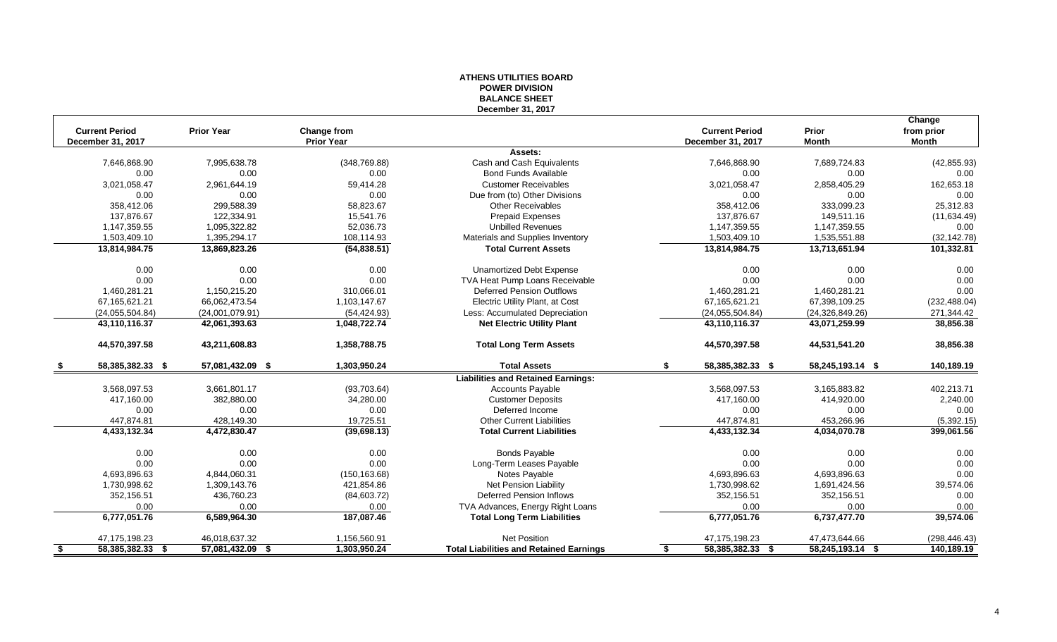#### **ATHENS UTILITIES BOARD POWER DIVISION BALANCE SHEET December 31, 2017**

|      |                       |                   |                   |                                                |                        |                   | Change        |
|------|-----------------------|-------------------|-------------------|------------------------------------------------|------------------------|-------------------|---------------|
|      | <b>Current Period</b> | <b>Prior Year</b> | Change from       |                                                | <b>Current Period</b>  | Prior             | from prior    |
|      | December 31, 2017     |                   | <b>Prior Year</b> |                                                | December 31, 2017      | <b>Month</b>      | Month         |
|      |                       |                   |                   | Assets:                                        |                        |                   |               |
|      | 7,646,868.90          | 7,995,638.78      | (348, 769.88)     | Cash and Cash Equivalents                      | 7,646,868.90           | 7,689,724.83      | (42, 855.93)  |
|      | 0.00                  | 0.00              | 0.00              | <b>Bond Funds Available</b>                    | 0.00                   | 0.00              | 0.00          |
|      | 3,021,058.47          | 2,961,644.19      | 59,414.28         | <b>Customer Receivables</b>                    | 3,021,058.47           | 2,858,405.29      | 162,653.18    |
|      | 0.00                  | 0.00              | 0.00              | Due from (to) Other Divisions                  | 0.00                   | 0.00              | 0.00          |
|      | 358,412.06            | 299,588.39        | 58,823.67         | <b>Other Receivables</b>                       | 358,412.06             | 333,099.23        | 25,312.83     |
|      | 137,876.67            | 122,334.91        | 15,541.76         | <b>Prepaid Expenses</b>                        | 137,876.67             | 149,511.16        | (11, 634.49)  |
|      | 1,147,359.55          | 1,095,322.82      | 52,036.73         | <b>Unbilled Revenues</b>                       | 1,147,359.55           | 1,147,359.55      | 0.00          |
|      | 1,503,409.10          | 1,395,294.17      | 108,114.93        | Materials and Supplies Inventory               | 1,503,409.10           | 1,535,551.88      | (32, 142.78)  |
|      | 13,814,984.75         | 13,869,823.26     | (54, 838.51)      | <b>Total Current Assets</b>                    | 13,814,984.75          | 13,713,651.94     | 101,332.81    |
|      | 0.00                  | 0.00              | 0.00              | <b>Unamortized Debt Expense</b>                | 0.00                   | 0.00              | 0.00          |
|      | 0.00                  | 0.00              | 0.00              | TVA Heat Pump Loans Receivable                 | 0.00                   | 0.00              | 0.00          |
|      | 1,460,281.21          | 1,150,215.20      | 310,066.01        | <b>Deferred Pension Outflows</b>               | 1,460,281.21           | 1,460,281.21      | 0.00          |
|      | 67,165,621.21         | 66,062,473.54     | 1,103,147.67      | Electric Utility Plant, at Cost                | 67, 165, 621. 21       | 67,398,109.25     | (232, 488.04) |
|      | (24,055,504.84)       | (24,001,079.91)   | (54, 424.93)      | Less: Accumulated Depreciation                 | (24,055,504.84)        | (24, 326, 849.26) | 271,344.42    |
|      | 43,110,116.37         | 42,061,393.63     | 1,048,722.74      | <b>Net Electric Utility Plant</b>              | 43,110,116.37          | 43,071,259.99     | 38,856.38     |
|      | 44,570,397.58         | 43,211,608.83     | 1,358,788.75      | <b>Total Long Term Assets</b>                  | 44,570,397.58          | 44,531,541.20     | 38,856.38     |
| - 56 | 58,385,382.33 \$      | 57,081,432.09 \$  | 1,303,950.24      | <b>Total Assets</b>                            | \$<br>58,385,382.33 \$ | 58,245,193.14 \$  | 140,189.19    |
|      |                       |                   |                   | <b>Liabilities and Retained Earnings:</b>      |                        |                   |               |
|      | 3,568,097.53          | 3,661,801.17      | (93,703.64)       | <b>Accounts Payable</b>                        | 3,568,097.53           | 3,165,883.82      | 402,213.71    |
|      | 417,160.00            | 382,880.00        | 34,280.00         | <b>Customer Deposits</b>                       | 417,160.00             | 414,920.00        | 2,240.00      |
|      | 0.00                  | 0.00              | 0.00              | Deferred Income                                | 0.00                   | 0.00              | 0.00          |
|      | 447.874.81            | 428,149.30        | 19,725.51         | <b>Other Current Liabilities</b>               | 447.874.81             | 453,266.96        | (5,392.15)    |
|      | 4,433,132.34          | 4,472,830.47      | (39,698.13)       | <b>Total Current Liabilities</b>               | 4,433,132.34           | 4,034,070.78      | 399,061.56    |
|      | 0.00                  | 0.00              | 0.00              | <b>Bonds Payable</b>                           | 0.00                   | 0.00              | 0.00          |
|      | 0.00                  | 0.00              | 0.00              | Long-Term Leases Payable                       | 0.00                   | 0.00              | 0.00          |
|      | 4,693,896.63          | 4,844,060.31      | (150, 163.68)     | Notes Payable                                  | 4,693,896.63           | 4,693,896.63      | 0.00          |
|      | 1,730,998.62          | 1,309,143.76      | 421,854.86        | Net Pension Liability                          | 1,730,998.62           | 1,691,424.56      | 39,574.06     |
|      | 352,156.51            | 436,760.23        | (84, 603.72)      | <b>Deferred Pension Inflows</b>                | 352,156.51             | 352,156.51        | 0.00          |
|      | 0.00                  | 0.00              | 0.00              | TVA Advances, Energy Right Loans               | 0.00                   | 0.00              | 0.00          |
|      | 6,777,051.76          | 6,589,964.30      | 187,087.46        | <b>Total Long Term Liabilities</b>             | 6,777,051.76           | 6,737,477.70      | 39,574.06     |
|      | 47,175,198.23         | 46,018,637.32     | 1,156,560.91      | <b>Net Position</b>                            | 47, 175, 198.23        | 47,473,644.66     | (298, 446.43) |
| - \$ | 58,385,382.33 \$      | 57,081,432.09 \$  | 1,303,950.24      | <b>Total Liabilities and Retained Earnings</b> | 58,385,382.33 \$<br>\$ | 58,245,193.14 \$  | 140,189.19    |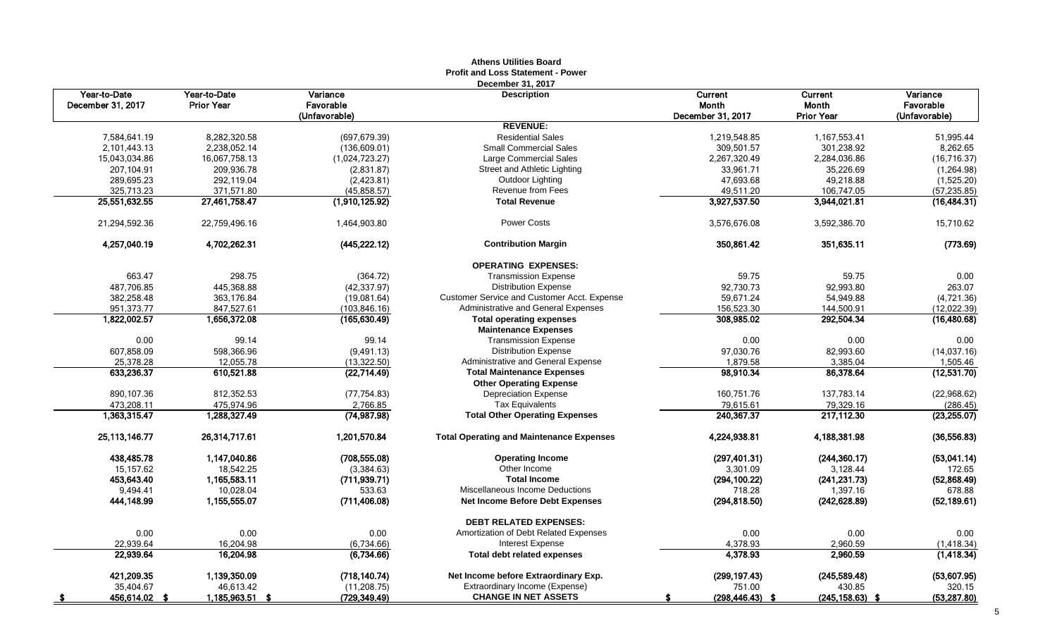|                      |                   |                | שטש בשווות של הוא ה<br><b>Profit and Loss Statement - Power</b> |                    |                    |               |
|----------------------|-------------------|----------------|-----------------------------------------------------------------|--------------------|--------------------|---------------|
| Year-to-Date         | Year-to-Date      | Variance       | December 31, 2017<br><b>Description</b>                         | Current            | Current            | Variance      |
| December 31, 2017    | <b>Prior Year</b> | Favorable      |                                                                 | <b>Month</b>       | Month              | Favorable     |
|                      |                   | (Unfavorable)  |                                                                 | December 31, 2017  | <b>Prior Year</b>  | (Unfavorable) |
|                      |                   |                | <b>REVENUE:</b>                                                 |                    |                    |               |
| 7,584,641.19         | 8,282,320.58      | (697, 679.39)  | <b>Residential Sales</b>                                        | 1,219,548.85       | 1,167,553.41       | 51,995.44     |
| 2,101,443.13         | 2,238,052.14      | (136, 609.01)  | <b>Small Commercial Sales</b>                                   | 309,501.57         | 301,238.92         | 8,262.65      |
| 15,043,034.86        | 16,067,758.13     | (1,024,723.27) | Large Commercial Sales                                          | 2,267,320.49       | 2,284,036.86       | (16, 716.37)  |
| 207,104.91           | 209,936.78        | (2,831.87)     | Street and Athletic Lighting                                    | 33,961.71          | 35,226.69          | (1,264.98)    |
| 289,695.23           | 292,119.04        | (2,423.81)     | Outdoor Lighting                                                | 47,693.68          | 49,218.88          | (1,525.20)    |
| 325,713.23           | 371,571.80        | (45,858.57)    | Revenue from Fees                                               | 49,511.20          | 106,747.05         | (57, 235.85)  |
| 25,551,632.55        | 27,461,758.47     | (1,910,125.92) | <b>Total Revenue</b>                                            | 3,927,537.50       | 3,944,021.81       | (16, 484.31)  |
| 21,294,592.36        | 22,759,496.16     | 1,464,903.80   | <b>Power Costs</b>                                              | 3,576,676.08       | 3,592,386.70       | 15,710.62     |
| 4,257,040.19         | 4,702,262.31      | (445, 222.12)  | <b>Contribution Margin</b>                                      | 350,861.42         | 351,635.11         | (773.69)      |
|                      |                   |                | <b>OPERATING EXPENSES:</b>                                      |                    |                    |               |
| 663.47               | 298.75            | (364.72)       | <b>Transmission Expense</b>                                     | 59.75              | 59.75              | 0.00          |
| 487,706.85           | 445,368.88        | (42, 337.97)   | <b>Distribution Expense</b>                                     | 92,730.73          | 92,993.80          | 263.07        |
| 382,258.48           | 363,176.84        | (19,081.64)    | Customer Service and Customer Acct. Expense                     | 59,671.24          | 54,949.88          | (4,721.36)    |
| 951,373.77           | 847,527.61        | (103, 846.16)  | Administrative and General Expenses                             | 156,523.30         | 144,500.91         | (12,022.39)   |
| 1,822,002.57         | 1,656,372.08      | (165, 630.49)  | <b>Total operating expenses</b>                                 | 308,985.02         | 292,504.34         | (16,480.68)   |
|                      |                   |                | <b>Maintenance Expenses</b>                                     |                    |                    |               |
| 0.00                 | 99.14             | 99.14          | <b>Transmission Expense</b>                                     | 0.00               | 0.00               | 0.00          |
| 607,858.09           | 598,366.96        | (9,491.13)     | <b>Distribution Expense</b>                                     | 97,030.76          | 82,993.60          | (14,037.16)   |
| 25,378.28            | 12,055.78         | (13, 322.50)   | Administrative and General Expense                              | 1,879.58           | 3,385.04           | 1,505.46      |
| 633,236.37           | 610,521.88        | (22, 714.49)   | <b>Total Maintenance Expenses</b>                               | 98.910.34          | 86,378.64          | (12,531.70)   |
|                      |                   |                | <b>Other Operating Expense</b>                                  |                    |                    |               |
| 890,107.36           | 812,352.53        | (77, 754.83)   | <b>Depreciation Expense</b>                                     | 160,751.76         | 137,783.14         | (22,968.62)   |
| 473,208.11           | 475,974.96        | 2,766.85       | <b>Tax Equivalents</b>                                          | 79,615.61          | 79,329.16          | (286.45)      |
| 1,363,315.47         | 1,288,327.49      | (74, 987.98)   | <b>Total Other Operating Expenses</b>                           | 240,367.37         | 217.112.30         | (23, 255.07)  |
| 25, 113, 146. 77     | 26,314,717.61     | 1,201,570.84   | <b>Total Operating and Maintenance Expenses</b>                 | 4,224,938.81       | 4,188,381.98       | (36, 556.83)  |
| 438,485.78           | 1,147,040.86      | (708, 555.08)  | <b>Operating Income</b>                                         | (297, 401.31)      | (244, 360.17)      | (53,041.14)   |
| 15,157.62            | 18,542.25         | (3,384.63)     | Other Income                                                    | 3,301.09           | 3,128.44           | 172.65        |
| 453,643.40           | 1,165,583.11      | (711, 939.71)  | <b>Total Income</b>                                             | (294, 100.22)      | (241, 231.73)      | (52,868.49)   |
| 9,494.41             | 10,028.04         | 533.63         | Miscellaneous Income Deductions                                 | 718.28             | 1,397.16           | 678.88        |
| 444,148.99           | 1,155,555.07      | (711, 406.08)  | Net Income Before Debt Expenses                                 | (294, 818.50)      | (242, 628.89)      | (52, 189.61)  |
|                      |                   |                | <b>DEBT RELATED EXPENSES:</b>                                   |                    |                    |               |
| 0.00                 | 0.00              | 0.00           | Amortization of Debt Related Expenses                           | 0.00               | 0.00               | 0.00          |
| 22.939.64            | 16,204.98         | (6,734.66)     | <b>Interest Expense</b>                                         | 4,378.93           | 2,960.59           | (1, 418.34)   |
| 22,939.64            | 16,204.98         | (6,734.66)     | <b>Total debt related expenses</b>                              | 4,378.93           | 2,960.59           | (1, 418.34)   |
| 421,209.35           | 1,139,350.09      | (718, 140.74)  | Net Income before Extraordinary Exp.                            | (299, 197.43)      | (245, 589.48)      | (53,607.95)   |
| 35.404.67            | 46,613.42         | (11, 208.75)   | Extraordinary Income (Expense)                                  | 751.00             | 430.85             | 320.15        |
| 456,614.02 \$<br>- 5 | 1,185,963.51 \$   | (729, 349.49)  | <b>CHANGE IN NET ASSETS</b>                                     | $(298, 446.43)$ \$ | $(245, 158.63)$ \$ | (53, 287.80)  |

# **Athens Utilities Board**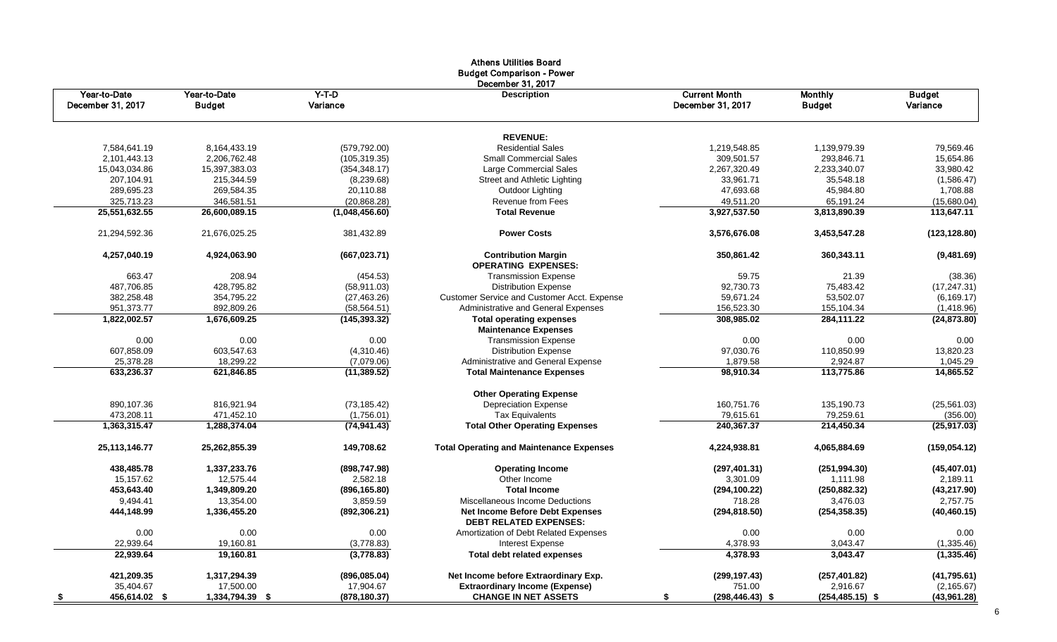| December 31, 2017<br>Y-T-D<br><b>Current Month</b><br>Year-to-Date<br>Year-to-Date<br><b>Description</b><br><b>Monthly</b><br>December 31, 2017<br>Variance<br>December 31, 2017<br><b>Budget</b><br><b>Budget</b><br><b>REVENUE:</b><br>7,584,641.19<br>8,164,433.19<br>(579, 792.00)<br><b>Residential Sales</b><br>1,219,548.85<br>1,139,979.39<br>2,101,443.13<br>2,206,762.48<br>293,846.71<br>(105, 319.35)<br><b>Small Commercial Sales</b><br>309,501.57<br>15,043,034.86<br>15,397,383.03<br>2,267,320.49<br>2,233,340.07<br>(354, 348.17)<br>Large Commercial Sales<br>207,104.91<br>215,344.59<br>(8,239.68)<br>Street and Athletic Lighting<br>33,961.71<br>289,695.23<br>269,584.35<br>20,110.88<br>Outdoor Lighting<br>47,693.68<br>325,713.23<br>346,581.51<br>(20, 868.28)<br>Revenue from Fees<br>49,511.20<br>25,551,632.55<br><b>Total Revenue</b><br>3,927,537.50<br>3,813,890.39<br>26,600,089.15<br>(1,048,456.60)<br><b>Power Costs</b><br>21,294,592.36<br>21,676,025.25<br>381,432.89<br>3,576,676.08<br>3,453,547.28 | <b>Budget</b><br>Variance<br>79,569.46<br>15,654.86<br>33,980.42<br>35,548.18<br>(1,586.47)<br>45,984.80<br>1,708.88<br>65,191.24<br>(15,680.04)<br>113,647.11<br>(123, 128.80) |
|------------------------------------------------------------------------------------------------------------------------------------------------------------------------------------------------------------------------------------------------------------------------------------------------------------------------------------------------------------------------------------------------------------------------------------------------------------------------------------------------------------------------------------------------------------------------------------------------------------------------------------------------------------------------------------------------------------------------------------------------------------------------------------------------------------------------------------------------------------------------------------------------------------------------------------------------------------------------------------------------------------------------------------------------|---------------------------------------------------------------------------------------------------------------------------------------------------------------------------------|
|                                                                                                                                                                                                                                                                                                                                                                                                                                                                                                                                                                                                                                                                                                                                                                                                                                                                                                                                                                                                                                                |                                                                                                                                                                                 |
|                                                                                                                                                                                                                                                                                                                                                                                                                                                                                                                                                                                                                                                                                                                                                                                                                                                                                                                                                                                                                                                |                                                                                                                                                                                 |
|                                                                                                                                                                                                                                                                                                                                                                                                                                                                                                                                                                                                                                                                                                                                                                                                                                                                                                                                                                                                                                                |                                                                                                                                                                                 |
|                                                                                                                                                                                                                                                                                                                                                                                                                                                                                                                                                                                                                                                                                                                                                                                                                                                                                                                                                                                                                                                |                                                                                                                                                                                 |
|                                                                                                                                                                                                                                                                                                                                                                                                                                                                                                                                                                                                                                                                                                                                                                                                                                                                                                                                                                                                                                                |                                                                                                                                                                                 |
|                                                                                                                                                                                                                                                                                                                                                                                                                                                                                                                                                                                                                                                                                                                                                                                                                                                                                                                                                                                                                                                |                                                                                                                                                                                 |
|                                                                                                                                                                                                                                                                                                                                                                                                                                                                                                                                                                                                                                                                                                                                                                                                                                                                                                                                                                                                                                                |                                                                                                                                                                                 |
|                                                                                                                                                                                                                                                                                                                                                                                                                                                                                                                                                                                                                                                                                                                                                                                                                                                                                                                                                                                                                                                |                                                                                                                                                                                 |
|                                                                                                                                                                                                                                                                                                                                                                                                                                                                                                                                                                                                                                                                                                                                                                                                                                                                                                                                                                                                                                                |                                                                                                                                                                                 |
|                                                                                                                                                                                                                                                                                                                                                                                                                                                                                                                                                                                                                                                                                                                                                                                                                                                                                                                                                                                                                                                |                                                                                                                                                                                 |
| 4,257,040.19<br>4,924,063.90<br>(667, 023.71)<br><b>Contribution Margin</b><br>350,861.42<br>360,343.11<br><b>OPERATING EXPENSES:</b>                                                                                                                                                                                                                                                                                                                                                                                                                                                                                                                                                                                                                                                                                                                                                                                                                                                                                                          | (9,481.69)                                                                                                                                                                      |
| 663.47<br>208.94<br><b>Transmission Expense</b><br>59.75<br>(454.53)                                                                                                                                                                                                                                                                                                                                                                                                                                                                                                                                                                                                                                                                                                                                                                                                                                                                                                                                                                           | 21.39<br>(38.36)                                                                                                                                                                |
| 487,706.85<br>428,795.82<br>(58, 911.03)<br><b>Distribution Expense</b><br>92,730.73                                                                                                                                                                                                                                                                                                                                                                                                                                                                                                                                                                                                                                                                                                                                                                                                                                                                                                                                                           | 75,483.42<br>(17, 247.31)                                                                                                                                                       |
| 382,258.48<br>354,795.22<br>(27, 463.26)<br>Customer Service and Customer Acct. Expense<br>59,671.24                                                                                                                                                                                                                                                                                                                                                                                                                                                                                                                                                                                                                                                                                                                                                                                                                                                                                                                                           | 53,502.07<br>(6, 169.17)                                                                                                                                                        |
| 951,373.77<br>892,809.26<br>Administrative and General Expenses<br>156,523.30<br>(58, 564.51)<br>155,104.34                                                                                                                                                                                                                                                                                                                                                                                                                                                                                                                                                                                                                                                                                                                                                                                                                                                                                                                                    | (1,418.96)                                                                                                                                                                      |
| 1,822,002.57<br>308,985.02<br>1,676,609.25<br>(145, 393.32)<br><b>Total operating expenses</b>                                                                                                                                                                                                                                                                                                                                                                                                                                                                                                                                                                                                                                                                                                                                                                                                                                                                                                                                                 | 284,111.22<br>(24,873.80)                                                                                                                                                       |
| <b>Maintenance Expenses</b>                                                                                                                                                                                                                                                                                                                                                                                                                                                                                                                                                                                                                                                                                                                                                                                                                                                                                                                                                                                                                    |                                                                                                                                                                                 |
| 0.00<br>0.00<br>0.00<br><b>Transmission Expense</b><br>0.00                                                                                                                                                                                                                                                                                                                                                                                                                                                                                                                                                                                                                                                                                                                                                                                                                                                                                                                                                                                    | 0.00<br>0.00                                                                                                                                                                    |
| 603,547.63<br>607,858.09<br><b>Distribution Expense</b><br>97,030.76<br>110,850.99<br>(4,310.46)                                                                                                                                                                                                                                                                                                                                                                                                                                                                                                                                                                                                                                                                                                                                                                                                                                                                                                                                               | 13,820.23                                                                                                                                                                       |
| 25,378.28<br>18,299.22<br>1,879.58<br>(7,079.06)<br><b>Administrative and General Expense</b>                                                                                                                                                                                                                                                                                                                                                                                                                                                                                                                                                                                                                                                                                                                                                                                                                                                                                                                                                  | 2,924.87<br>1,045.29                                                                                                                                                            |
| 633.236.37<br>621,846.85<br>(11, 389.52)<br><b>Total Maintenance Expenses</b><br>98.910.34<br>113.775.86                                                                                                                                                                                                                                                                                                                                                                                                                                                                                                                                                                                                                                                                                                                                                                                                                                                                                                                                       | 14.865.52                                                                                                                                                                       |
| <b>Other Operating Expense</b>                                                                                                                                                                                                                                                                                                                                                                                                                                                                                                                                                                                                                                                                                                                                                                                                                                                                                                                                                                                                                 |                                                                                                                                                                                 |
| 890,107.36<br>816,921.94<br><b>Depreciation Expense</b><br>160,751.76<br>135,190.73<br>(73, 185.42)                                                                                                                                                                                                                                                                                                                                                                                                                                                                                                                                                                                                                                                                                                                                                                                                                                                                                                                                            | (25, 561.03)                                                                                                                                                                    |
| 473,208.11<br>471,452.10<br>(1,756.01)<br><b>Tax Equivalents</b><br>79,615.61                                                                                                                                                                                                                                                                                                                                                                                                                                                                                                                                                                                                                                                                                                                                                                                                                                                                                                                                                                  | 79,259.61<br>(356.00)                                                                                                                                                           |
| <b>Total Other Operating Expenses</b><br>1,363,315.47<br>1,288,374.04<br>(74, 941.43)<br>240,367.37<br>214,450.34                                                                                                                                                                                                                                                                                                                                                                                                                                                                                                                                                                                                                                                                                                                                                                                                                                                                                                                              | (25, 917.03)                                                                                                                                                                    |
| 25,113,146.77<br>149,708.62<br><b>Total Operating and Maintenance Expenses</b><br>25,262,855.39<br>4,224,938.81<br>4,065,884.69                                                                                                                                                                                                                                                                                                                                                                                                                                                                                                                                                                                                                                                                                                                                                                                                                                                                                                                | (159, 054.12)                                                                                                                                                                   |
| 438,485.78<br>1,337,233.76<br>(898, 747.98)<br><b>Operating Income</b><br>(297, 401.31)                                                                                                                                                                                                                                                                                                                                                                                                                                                                                                                                                                                                                                                                                                                                                                                                                                                                                                                                                        | (251, 994.30)<br>(45, 407.01)                                                                                                                                                   |
| 15,157.62<br>12,575.44<br>Other Income<br>2,582.18<br>3,301.09                                                                                                                                                                                                                                                                                                                                                                                                                                                                                                                                                                                                                                                                                                                                                                                                                                                                                                                                                                                 | 1,111.98<br>2,189.11                                                                                                                                                            |
| 453,643.40<br>1,349,809.20<br><b>Total Income</b><br>(250, 882.32)<br>(896, 165.80)<br>(294, 100.22)                                                                                                                                                                                                                                                                                                                                                                                                                                                                                                                                                                                                                                                                                                                                                                                                                                                                                                                                           | (43, 217.90)                                                                                                                                                                    |
| 9,494.41<br>13,354.00<br>3,859.59<br>718.28<br>Miscellaneous Income Deductions                                                                                                                                                                                                                                                                                                                                                                                                                                                                                                                                                                                                                                                                                                                                                                                                                                                                                                                                                                 | 3,476.03<br>2,757.75                                                                                                                                                            |
| Net Income Before Debt Expenses<br>444,148.99<br>1,336,455.20<br>(892, 306.21)<br>(294, 818.50)<br><b>DEBT RELATED EXPENSES:</b>                                                                                                                                                                                                                                                                                                                                                                                                                                                                                                                                                                                                                                                                                                                                                                                                                                                                                                               | (254, 358.35)<br>(40, 460.15)                                                                                                                                                   |
| 0.00<br>0.00<br>0.00<br>0.00<br>Amortization of Debt Related Expenses                                                                                                                                                                                                                                                                                                                                                                                                                                                                                                                                                                                                                                                                                                                                                                                                                                                                                                                                                                          | 0.00<br>0.00                                                                                                                                                                    |
| 22,939.64<br>19,160.81<br>4,378.93<br>(3,778.83)<br><b>Interest Expense</b>                                                                                                                                                                                                                                                                                                                                                                                                                                                                                                                                                                                                                                                                                                                                                                                                                                                                                                                                                                    | 3,043.47<br>(1,335.46)                                                                                                                                                          |
| 4,378.93<br>22,939.64<br>19,160.81<br>(3,778.83)<br><b>Total debt related expenses</b>                                                                                                                                                                                                                                                                                                                                                                                                                                                                                                                                                                                                                                                                                                                                                                                                                                                                                                                                                         | 3,043.47<br>(1, 335.46)                                                                                                                                                         |
| 421,209.35<br>1,317,294.39<br>(896,085.04)<br>Net Income before Extraordinary Exp.<br>(299, 197.43)                                                                                                                                                                                                                                                                                                                                                                                                                                                                                                                                                                                                                                                                                                                                                                                                                                                                                                                                            | (257, 401.82)<br>(41,795.61)                                                                                                                                                    |
| 35,404.67<br>17,500.00<br>17,904.67<br><b>Extraordinary Income (Expense)</b><br>751.00                                                                                                                                                                                                                                                                                                                                                                                                                                                                                                                                                                                                                                                                                                                                                                                                                                                                                                                                                         | 2,916.67<br>(2, 165.67)                                                                                                                                                         |
| 1,334,794.39 \$<br><b>CHANGE IN NET ASSETS</b><br>456,614.02 \$<br>(878, 180.37)<br>(298,446.43) \$<br>\$                                                                                                                                                                                                                                                                                                                                                                                                                                                                                                                                                                                                                                                                                                                                                                                                                                                                                                                                      | $(254, 485.15)$ \$<br>(43,961.28)                                                                                                                                               |

# Athens Utilities Board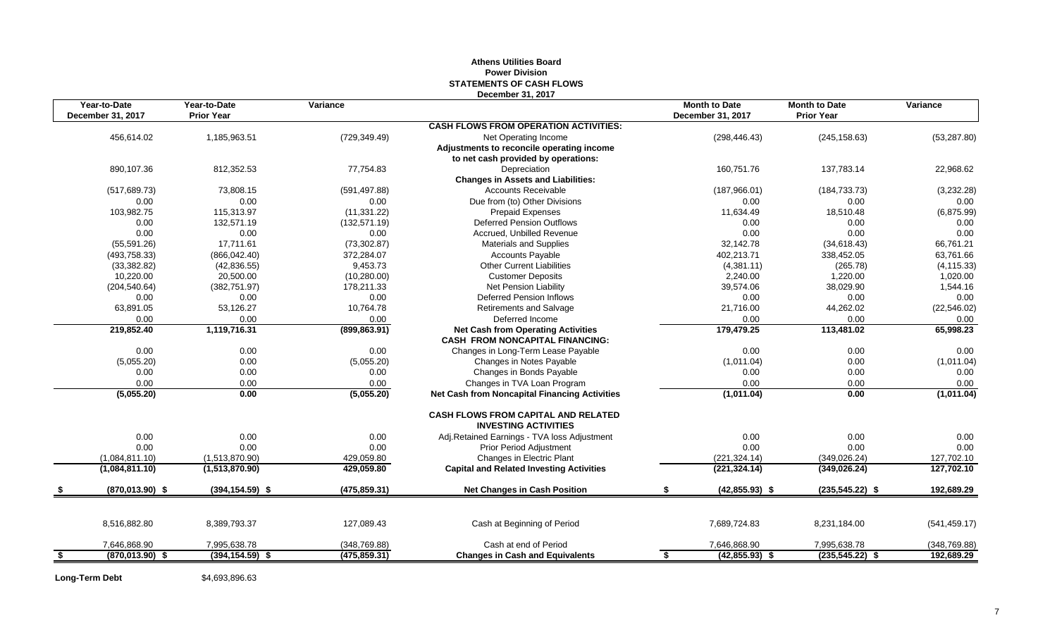#### **Athens Utilities Board Power Division STATEMENTS OF CASH FLOWS December 31, 2017**

| Year-to-Date             | Year-to-Date       | Variance      |                                                                                     | <b>Month to Date</b>   | <b>Month to Date</b> | Variance      |
|--------------------------|--------------------|---------------|-------------------------------------------------------------------------------------|------------------------|----------------------|---------------|
| December 31, 2017        | <b>Prior Year</b>  |               |                                                                                     | December 31, 2017      | <b>Prior Year</b>    |               |
|                          |                    |               | <b>CASH FLOWS FROM OPERATION ACTIVITIES:</b>                                        |                        |                      |               |
| 456,614.02               | 1,185,963.51       | (729, 349.49) | Net Operating Income                                                                | (298, 446.43)          | (245, 158.63)        | (53, 287.80)  |
|                          |                    |               | Adjustments to reconcile operating income                                           |                        |                      |               |
|                          |                    |               | to net cash provided by operations:                                                 |                        |                      |               |
| 890,107.36               | 812,352.53         | 77,754.83     | Depreciation                                                                        | 160,751.76             | 137,783.14           | 22,968.62     |
|                          |                    |               | <b>Changes in Assets and Liabilities:</b>                                           |                        |                      |               |
| (517, 689.73)            | 73.808.15          | (591, 497.88) | <b>Accounts Receivable</b>                                                          | (187,966.01)           | (184, 733, 73)       | (3,232.28)    |
| 0.00                     | 0.00               | 0.00          | Due from (to) Other Divisions                                                       | 0.00                   | 0.00                 | 0.00          |
| 103,982.75               | 115.313.97         | (11, 331.22)  | <b>Prepaid Expenses</b>                                                             | 11,634.49              | 18,510.48            | (6,875.99)    |
| 0.00                     | 132,571.19         | (132, 571.19) | <b>Deferred Pension Outflows</b>                                                    | 0.00                   | 0.00                 | 0.00          |
| 0.00                     | 0.00               | 0.00          | Accrued, Unbilled Revenue                                                           | 0.00                   | 0.00                 | 0.00          |
| (55,591.26)              | 17.711.61          | (73, 302.87)  | <b>Materials and Supplies</b>                                                       | 32,142.78              | (34,618.43)          | 66,761.21     |
| (493, 758.33)            | (866, 042.40)      | 372,284.07    | <b>Accounts Payable</b>                                                             | 402,213.71             | 338,452.05           | 63,761.66     |
| (33, 382.82)             | (42, 836.55)       | 9,453.73      | <b>Other Current Liabilities</b>                                                    | (4,381.11)             | (265.78)             | (4, 115.33)   |
| 10,220.00                | 20,500.00          | (10, 280.00)  | <b>Customer Deposits</b>                                                            | 2,240.00               | 1,220.00             | 1,020.00      |
| (204, 540.64)            | (382, 751.97)      | 178,211.33    | Net Pension Liability                                                               | 39,574.06              | 38,029.90            | 1,544.16      |
| 0.00                     | 0.00               | 0.00          | <b>Deferred Pension Inflows</b>                                                     | 0.00                   | 0.00                 | 0.00          |
| 63,891.05                | 53,126.27          | 10,764.78     | Retirements and Salvage                                                             | 21,716.00              | 44,262.02            | (22, 546.02)  |
| 0.00                     | 0.00               | 0.00          | Deferred Income                                                                     | 0.00                   | 0.00                 | 0.00          |
| 219,852.40               | 1,119,716.31       | (899, 863.91) | <b>Net Cash from Operating Activities</b><br><b>CASH FROM NONCAPITAL FINANCING:</b> | 179,479.25             | 113,481.02           | 65,998.23     |
| 0.00                     | 0.00               | 0.00          | Changes in Long-Term Lease Payable                                                  | 0.00                   | 0.00                 | 0.00          |
| (5,055.20)               | 0.00               | (5,055.20)    | Changes in Notes Payable                                                            | (1,011.04)             | 0.00                 | (1,011.04)    |
| 0.00                     | 0.00               | 0.00          | Changes in Bonds Payable                                                            | 0.00                   | 0.00                 | 0.00          |
| 0.00                     | 0.00               | 0.00          | Changes in TVA Loan Program                                                         | 0.00                   | 0.00                 | 0.00          |
| (5,055.20)               | 0.00               | (5,055.20)    | <b>Net Cash from Noncapital Financing Activities</b>                                | (1,011.04)             | 0.00                 | (1,011.04)    |
|                          |                    |               | <b>CASH FLOWS FROM CAPITAL AND RELATED</b><br><b>INVESTING ACTIVITIES</b>           |                        |                      |               |
| 0.00                     | 0.00               | 0.00          | Adj.Retained Earnings - TVA loss Adjustment                                         | 0.00                   | 0.00                 | 0.00          |
| 0.00                     | 0.00               | 0.00          | <b>Prior Period Adjustment</b>                                                      | 0.00                   | 0.00                 | 0.00          |
| (1,084,811.10)           | (1,513,870.90)     | 429,059.80    | Changes in Electric Plant                                                           | (221, 324.14)          | (349, 026.24)        | 127,702.10    |
| (1,084,811.10)           | (1,513,870.90)     | 429,059.80    | <b>Capital and Related Investing Activities</b>                                     | (221, 324.14)          | (349, 026.24)        | 127,702.10    |
| $(870,013.90)$ \$        | $(394, 154.59)$ \$ | (475, 859.31) | <b>Net Changes in Cash Position</b>                                                 | $(42,855.93)$ \$       | $(235,545.22)$ \$    | 192,689.29    |
|                          |                    |               |                                                                                     |                        |                      |               |
| 8,516,882.80             | 8,389,793.37       | 127,089.43    | Cash at Beginning of Period                                                         | 7,689,724.83           | 8,231,184.00         | (541, 459.17) |
| 7,646,868.90             | 7,995,638.78       | (348, 769.88) | Cash at end of Period                                                               | 7,646,868.90           | 7,995,638.78         | (348, 769.88) |
| \$<br>$(870, 013.90)$ \$ | $(394, 154.59)$ \$ | (475, 859.31) | <b>Changes in Cash and Equivalents</b>                                              | \$<br>$(42,855.93)$ \$ | $(235, 545.22)$ \$   | 192,689.29    |

Long-Term Debt \$4,693,896.63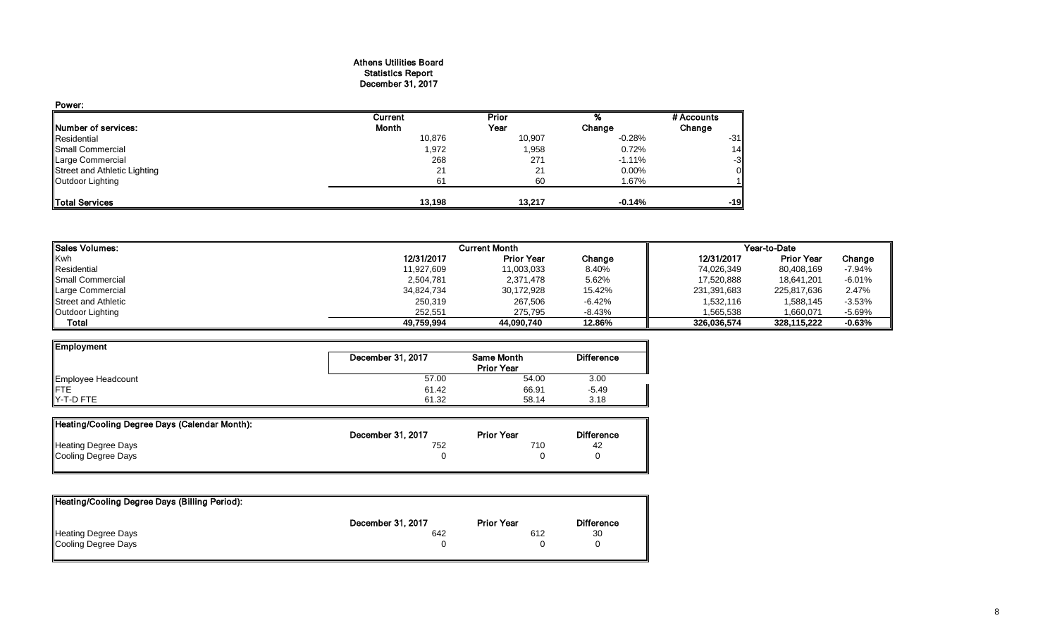#### Athens Utilities Board Statistics Report December 31, 2017

| Power:                       |         |        |          |            |
|------------------------------|---------|--------|----------|------------|
|                              | Current | Prior  |          | # Accounts |
| Number of services:          | Month   | Year   | Change   | Change     |
| Residential                  | 10,876  | 10,907 | $-0.28%$ | $-31$      |
| Small Commercial             | 1,972   | 1,958  | 0.72%    | 14         |
| Large Commercial             | 268     | 271    | $-1.11%$ | -3         |
| Street and Athletic Lighting | 21      | 21     | 0.00%    |            |
| Outdoor Lighting             | 61      | 60     | 1.67%    |            |
| <b>Total Services</b>        | 13,198  | 13.217 | $-0.14%$ | $-19$      |

| <b>I</b> Sales Volumes:    | <b>Current Month</b><br>Year-to-Date |                   |          |             |                   |          |
|----------------------------|--------------------------------------|-------------------|----------|-------------|-------------------|----------|
| Kwh                        | 12/31/2017                           | <b>Prior Year</b> | Change   | 12/31/2017  | <b>Prior Year</b> | Change   |
| Residential                | 11.927.609                           | 11,003,033        | 8.40%    | 74,026,349  | 80,408,169        | $-7.94%$ |
| <b>I</b> Small Commercial  | 2,504,781                            | 2,371,478         | 5.62%    | 17,520,888  | 18.641.201        | $-6.01%$ |
| Large Commercial           | 34,824,734                           | 30,172,928        | 15.42%   | 231,391,683 | 225.817.636       | 2.47%    |
| <b>Street and Athletic</b> | 250,319                              | 267,506           | $-6.42%$ | 1,532,116   | 1,588,145         | $-3.53%$ |
| Outdoor Lighting           | 252.551                              | 275.795           | $-8.43%$ | 1.565.538   | 1.660.071         | $-5.69%$ |
| Total                      | 49,759,994                           | 44.090.740        | 12.86%   | 326.036.574 | 328.115.222       | $-0.63%$ |

| <b>Employment</b>  |                   |                   |                   |
|--------------------|-------------------|-------------------|-------------------|
|                    | December 31, 2017 | Same Month        | <b>Difference</b> |
|                    |                   | <b>Prior Year</b> |                   |
| Employee Headcount | 57.00             | 54.00             | 3.00              |
| <b>IFTE</b>        | 61.42             | 66.91             | $-5.49$           |
| Y-T-D FTE          | 61.32             | 58.14             | 3.18              |

| Heating/Cooling Degree Days (Calendar Month): |                   |                   |                   |
|-----------------------------------------------|-------------------|-------------------|-------------------|
|                                               | December 31, 2017 | <b>Prior Year</b> | <b>Difference</b> |
| <b>Heating Degree Days</b>                    | 752               | 710               | 42                |
| Cooling Degree Days                           |                   |                   |                   |
|                                               |                   |                   |                   |

| Heating/Cooling Degree Days (Billing Period): |                   |                   |                   |
|-----------------------------------------------|-------------------|-------------------|-------------------|
|                                               | December 31, 2017 | <b>Prior Year</b> | <b>Difference</b> |
| <b>Heating Degree Days</b>                    | 642               | 612               | 30                |
| Cooling Degree Days                           |                   |                   |                   |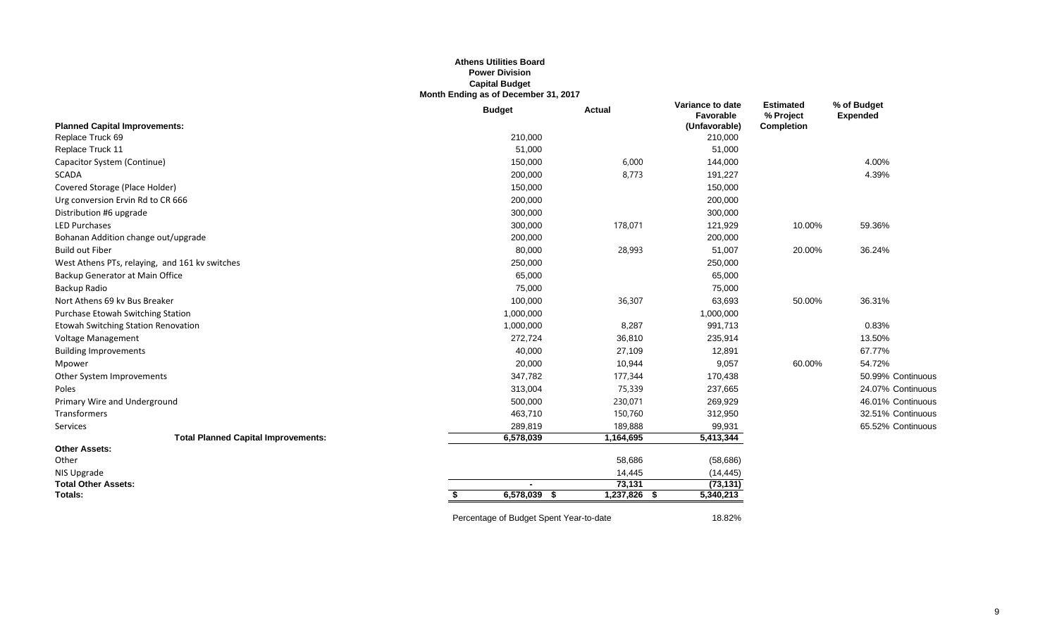#### **Athens Utilities Board Power Division Capital Budget Month Ending as of December 31, 2017**

|                                                | <b>Budget</b>                           | <b>Actual</b> | Variance to date<br>Favorable | <b>Estimated</b><br>% Project | % of Budget<br><b>Expended</b> |
|------------------------------------------------|-----------------------------------------|---------------|-------------------------------|-------------------------------|--------------------------------|
| <b>Planned Capital Improvements:</b>           |                                         |               | (Unfavorable)                 | <b>Completion</b>             |                                |
| Replace Truck 69                               | 210,000                                 |               | 210,000                       |                               |                                |
| Replace Truck 11                               | 51,000                                  |               | 51,000                        |                               |                                |
| Capacitor System (Continue)                    | 150,000                                 | 6,000         | 144,000                       |                               | 4.00%                          |
| <b>SCADA</b>                                   | 200,000                                 | 8,773         | 191,227                       |                               | 4.39%                          |
| Covered Storage (Place Holder)                 | 150,000                                 |               | 150,000                       |                               |                                |
| Urg conversion Ervin Rd to CR 666              | 200,000                                 |               | 200,000                       |                               |                                |
| Distribution #6 upgrade                        | 300,000                                 |               | 300,000                       |                               |                                |
| LED Purchases                                  | 300,000                                 | 178,071       | 121,929                       | 10.00%                        | 59.36%                         |
| Bohanan Addition change out/upgrade            | 200,000                                 |               | 200,000                       |                               |                                |
| <b>Build out Fiber</b>                         | 80,000                                  | 28,993        | 51,007                        | 20.00%                        | 36.24%                         |
| West Athens PTs, relaying, and 161 kv switches | 250,000                                 |               | 250,000                       |                               |                                |
| Backup Generator at Main Office                | 65,000                                  |               | 65,000                        |                               |                                |
| Backup Radio                                   | 75,000                                  |               | 75,000                        |                               |                                |
| Nort Athens 69 kv Bus Breaker                  | 100,000                                 | 36,307        | 63,693                        | 50.00%                        | 36.31%                         |
| Purchase Etowah Switching Station              | 1,000,000                               |               | 1,000,000                     |                               |                                |
| Etowah Switching Station Renovation            | 1,000,000                               | 8,287         | 991,713                       |                               | 0.83%                          |
| Voltage Management                             | 272,724                                 | 36,810        | 235,914                       |                               | 13.50%                         |
| <b>Building Improvements</b>                   | 40,000                                  | 27,109        | 12,891                        |                               | 67.77%                         |
| Mpower                                         | 20,000                                  | 10,944        | 9,057                         | 60.00%                        | 54.72%                         |
| Other System Improvements                      | 347,782                                 | 177,344       | 170,438                       |                               | 50.99% Continuous              |
| Poles                                          | 313,004                                 | 75,339        | 237,665                       |                               | 24.07% Continuous              |
| Primary Wire and Underground                   | 500,000                                 | 230,071       | 269,929                       |                               | 46.01% Continuous              |
| Transformers                                   | 463,710                                 | 150,760       | 312,950                       |                               | 32.51% Continuous              |
| Services                                       | 289,819                                 | 189,888       | 99,931                        |                               | 65.52% Continuous              |
| <b>Total Planned Capital Improvements:</b>     | 6,578,039                               | 1,164,695     | 5,413,344                     |                               |                                |
| <b>Other Assets:</b>                           |                                         |               |                               |                               |                                |
| Other                                          |                                         | 58,686        | (58, 686)                     |                               |                                |
| NIS Upgrade                                    |                                         | 14,445        | (14, 445)                     |                               |                                |
| <b>Total Other Assets:</b>                     |                                         | 73,131        | (73, 131)                     |                               |                                |
| <b>Totals:</b>                                 | 6,578,039<br>- \$                       | 1,237,826 \$  | 5,340,213                     |                               |                                |
|                                                | Percentage of Budget Spent Year-to-date |               | 18.82%                        |                               |                                |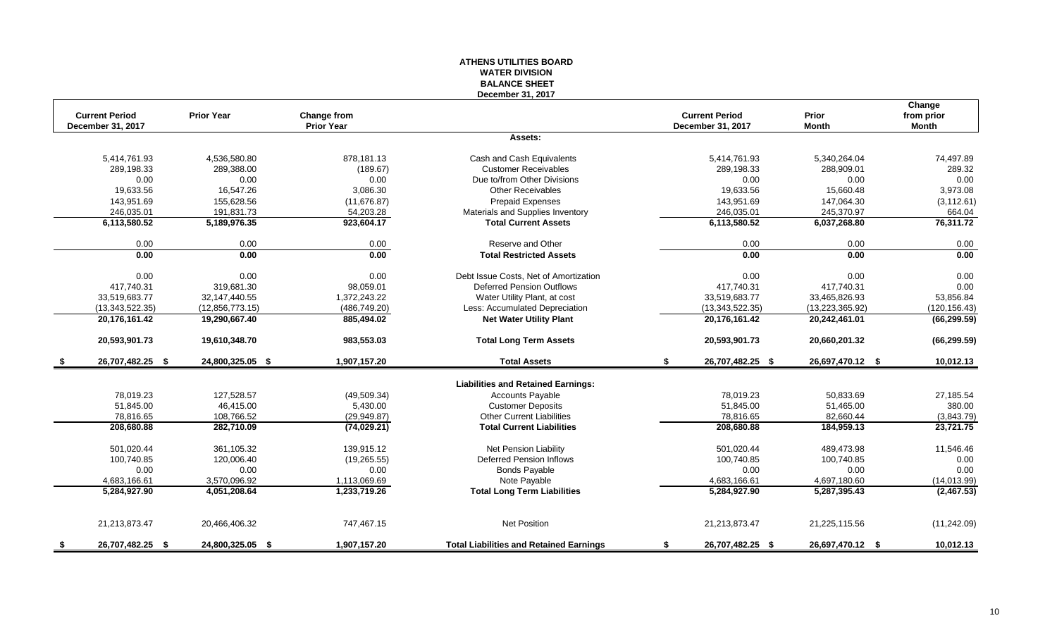#### **ATHENS UTILITIES BOARD WATER DIVISION BALANCE SHEET December 31, 2017**

|     | <b>Current Period</b> | <b>Prior Year</b> | Change from       |                                                | <b>Current Period</b>  | Prior             | Change<br>from prior |
|-----|-----------------------|-------------------|-------------------|------------------------------------------------|------------------------|-------------------|----------------------|
|     | December 31, 2017     |                   | <b>Prior Year</b> |                                                | December 31, 2017      | <b>Month</b>      | <b>Month</b>         |
|     |                       |                   |                   | Assets:                                        |                        |                   |                      |
|     | 5,414,761.93          | 4,536,580.80      | 878,181.13        | Cash and Cash Equivalents                      | 5,414,761.93           | 5,340,264.04      | 74,497.89            |
|     | 289,198.33            | 289,388.00        | (189.67)          | <b>Customer Receivables</b>                    | 289,198.33             | 288,909.01        | 289.32               |
|     | 0.00                  | 0.00              | 0.00              | Due to/from Other Divisions                    | 0.00                   | 0.00              | 0.00                 |
|     | 19,633.56             | 16,547.26         | 3.086.30          | <b>Other Receivables</b>                       | 19.633.56              | 15,660.48         | 3,973.08             |
|     | 143,951.69            | 155,628.56        | (11, 676.87)      | <b>Prepaid Expenses</b>                        | 143,951.69             | 147,064.30        | (3, 112.61)          |
|     | 246,035.01            | 191,831.73        | 54,203.28         | Materials and Supplies Inventory               | 246,035.01             | 245,370.97        | 664.04               |
|     | 6,113,580.52          | 5,189,976.35      | 923,604.17        | <b>Total Current Assets</b>                    | 6,113,580.52           | 6,037,268.80      | 76,311.72            |
|     | 0.00                  | 0.00              | 0.00              | Reserve and Other                              | 0.00                   | 0.00              | 0.00                 |
|     | 0.00                  | 0.00              | 0.00              | <b>Total Restricted Assets</b>                 | 0.00                   | 0.00              | 0.00                 |
|     | 0.00                  | 0.00              | 0.00              | Debt Issue Costs, Net of Amortization          | 0.00                   | 0.00              | 0.00                 |
|     | 417,740.31            | 319,681.30        | 98,059.01         | <b>Deferred Pension Outflows</b>               | 417,740.31             | 417,740.31        | 0.00                 |
|     | 33,519,683.77         | 32, 147, 440.55   | 1,372,243.22      | Water Utility Plant, at cost                   | 33,519,683.77          | 33,465,826.93     | 53,856.84            |
|     | (13,343,522.35)       | (12,856,773.15)   | (486, 749.20)     | Less: Accumulated Depreciation                 | (13,343,522.35)        | (13, 223, 365.92) | (120, 156.43)        |
|     | 20,176,161.42         | 19,290,667.40     | 885,494.02        | <b>Net Water Utility Plant</b>                 | 20,176,161.42          | 20,242,461.01     | (66, 299.59)         |
|     | 20,593,901.73         | 19,610,348.70     | 983,553.03        | <b>Total Long Term Assets</b>                  | 20,593,901.73          | 20,660,201.32     | (66, 299.59)         |
|     | 26,707,482.25 \$      | 24,800,325.05 \$  | 1,907,157.20      | <b>Total Assets</b>                            | \$<br>26,707,482.25 \$ | 26,697,470.12 \$  | 10,012.13            |
|     |                       |                   |                   | <b>Liabilities and Retained Earnings:</b>      |                        |                   |                      |
|     | 78,019.23             | 127,528.57        | (49, 509.34)      | <b>Accounts Payable</b>                        | 78,019.23              | 50,833.69         | 27,185.54            |
|     | 51,845.00             | 46,415.00         | 5,430.00          | <b>Customer Deposits</b>                       | 51,845.00              | 51,465.00         | 380.00               |
|     | 78,816.65             | 108,766.52        | (29, 949.87)      | <b>Other Current Liabilities</b>               | 78,816.65              | 82,660.44         | (3,843.79)           |
|     | 208,680.88            | 282,710.09        | (74, 029.21)      | <b>Total Current Liabilities</b>               | 208,680.88             | 184,959.13        | 23,721.75            |
|     | 501,020.44            | 361,105.32        | 139,915.12        | <b>Net Pension Liability</b>                   | 501,020.44             | 489,473.98        | 11,546.46            |
|     | 100,740.85            | 120,006.40        | (19, 265.55)      | Deferred Pension Inflows                       | 100,740.85             | 100,740.85        | 0.00                 |
|     | 0.00                  | 0.00              | 0.00              | <b>Bonds Payable</b>                           | 0.00                   | 0.00              | 0.00                 |
|     | 4,683,166.61          | 3,570,096.92      | 1,113,069.69      | Note Payable                                   | 4,683,166.61           | 4,697,180.60      | (14, 013.99)         |
|     | 5,284,927.90          | 4,051,208.64      | 1,233,719.26      | <b>Total Long Term Liabilities</b>             | 5,284,927.90           | 5,287,395.43      | (2, 467.53)          |
|     |                       |                   |                   |                                                |                        |                   |                      |
|     | 21,213,873.47         | 20,466,406.32     | 747,467.15        | <b>Net Position</b>                            | 21,213,873.47          | 21,225,115.56     | (11,242.09)          |
| - 5 | 26,707,482.25 \$      | 24,800,325.05 \$  | 1,907,157.20      | <b>Total Liabilities and Retained Earnings</b> | \$<br>26,707,482.25 \$ | 26,697,470.12 \$  | 10,012.13            |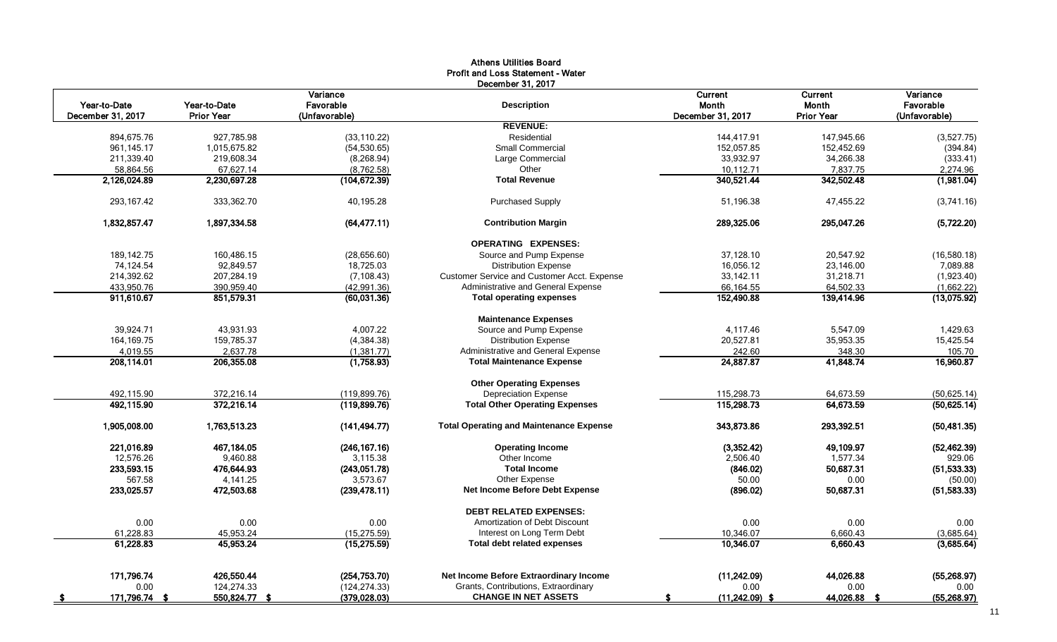|                   |               | Variance       | December 31, 2017                              | Current           | Current           | Variance      |
|-------------------|---------------|----------------|------------------------------------------------|-------------------|-------------------|---------------|
| Year-to-Date      | Year-to-Date  | Favorable      | <b>Description</b>                             | Month             | Month             | Favorable     |
| December 31, 2017 | Prior Year    | (Unfavorable)  |                                                | December 31, 2017 | <b>Prior Year</b> | (Unfavorable) |
|                   |               |                | <b>REVENUE:</b>                                |                   |                   |               |
| 894,675.76        | 927,785.98    | (33, 110.22)   | Residential                                    | 144,417.91        | 147.945.66        | (3,527.75)    |
| 961,145.17        | 1,015,675.82  | (54, 530.65)   | <b>Small Commercial</b>                        | 152,057.85        | 152,452.69        | (394.84)      |
| 211,339.40        | 219,608.34    | (8, 268.94)    | Large Commercial                               | 33,932.97         | 34,266.38         | (333.41)      |
| 58,864.56         | 67,627.14     | (8,762.58)     | Other                                          | 10,112.71         | 7,837.75          | 2,274.96      |
| 2,126,024.89      | 2,230,697.28  | (104, 672.39)  | <b>Total Revenue</b>                           | 340,521.44        | 342,502.48        | (1,981.04)    |
| 293,167.42        | 333,362.70    | 40,195.28      | <b>Purchased Supply</b>                        | 51,196.38         | 47,455.22         | (3,741.16)    |
| 1,832,857.47      | 1,897,334.58  | (64, 477.11)   | <b>Contribution Margin</b>                     | 289,325.06        | 295,047.26        | (5,722.20)    |
|                   |               |                | <b>OPERATING EXPENSES:</b>                     |                   |                   |               |
| 189,142.75        | 160,486.15    | (28, 656.60)   | Source and Pump Expense                        | 37,128.10         | 20,547.92         | (16,580.18)   |
| 74,124.54         | 92,849.57     | 18,725.03      | <b>Distribution Expense</b>                    | 16,056.12         | 23,146.00         | 7,089.88      |
| 214,392.62        | 207,284.19    | (7, 108.43)    | Customer Service and Customer Acct. Expense    | 33,142.11         | 31,218.71         | (1.923.40)    |
| 433,950.76        | 390,959.40    | (42,991.36)    | Administrative and General Expense             | 66,164.55         | 64,502.33         | (1,662.22)    |
| 911,610.67        | 851,579.31    | (60,031.36)    | <b>Total operating expenses</b>                | 152,490.88        | 139,414.96        | (13,075.92)   |
|                   |               |                | <b>Maintenance Expenses</b>                    |                   |                   |               |
| 39.924.71         | 43.931.93     | 4.007.22       | Source and Pump Expense                        | 4.117.46          | 5.547.09          | 1,429.63      |
| 164,169.75        | 159,785.37    | (4, 384.38)    | <b>Distribution Expense</b>                    | 20,527.81         | 35,953.35         | 15,425.54     |
| 4,019.55          | 2,637.78      | (1, 381.77)    | Administrative and General Expense             | 242.60            | 348.30            | 105.70        |
| 208.114.01        | 206,355.08    | (1,758.93)     | <b>Total Maintenance Expense</b>               | 24,887.87         | 41.848.74         | 16,960.87     |
|                   |               |                | <b>Other Operating Expenses</b>                |                   |                   |               |
| 492,115.90        | 372,216.14    | (119.899.76)   | <b>Depreciation Expense</b>                    | 115,298.73        | 64,673.59         | (50, 625.14)  |
| 492,115.90        | 372,216.14    | (119,899.76)   | <b>Total Other Operating Expenses</b>          | 115,298.73        | 64,673.59         | (50, 625.14)  |
| 1,905,008.00      | 1,763,513.23  | (141, 494.77)  | <b>Total Operating and Maintenance Expense</b> | 343,873.86        | 293,392.51        | (50, 481.35)  |
| 221,016.89        | 467, 184.05   | (246, 167, 16) | <b>Operating Income</b>                        | (3,352.42)        | 49,109.97         | (52, 462.39)  |
| 12,576.26         | 9,460.88      | 3,115.38       | Other Income                                   | 2,506.40          | 1,577.34          | 929.06        |
| 233,593.15        | 476,644.93    | (243,051.78)   | <b>Total Income</b>                            | (846.02)          | 50,687.31         | (51, 533.33)  |
| 567.58            | 4,141.25      | 3,573.67       | Other Expense                                  | 50.00             | 0.00              | (50.00)       |
| 233,025.57        | 472,503.68    | (239, 478.11)  | Net Income Before Debt Expense                 | (896.02)          | 50,687.31         | (51, 583.33)  |
|                   |               |                | <b>DEBT RELATED EXPENSES:</b>                  |                   |                   |               |
| 0.00              | 0.00          | 0.00           | Amortization of Debt Discount                  | 0.00              | 0.00              | 0.00          |
| 61,228.83         | 45,953.24     | (15, 275.59)   | Interest on Long Term Debt                     | 10,346.07         | 6.660.43          | (3,685.64)    |
| 61,228.83         | 45,953.24     | (15, 275.59)   | <b>Total debt related expenses</b>             | 10,346.07         | 6,660.43          | (3,685.64)    |
| 171,796.74        | 426,550.44    | (254, 753.70)  | Net Income Before Extraordinary Income         | (11, 242.09)      | 44,026.88         | (55, 268.97)  |
| 0.00              | 124,274.33    | (124, 274.33)  | Grants, Contributions, Extraordinary           | 0.00              | 0.00              | 0.00          |
| 171,796.74 \$     | 550,824.77 \$ | (379, 028.03)  | <b>CHANGE IN NET ASSETS</b>                    | $(11,242.09)$ \$  | 44,026.88<br>- \$ | (55, 268.97)  |
|                   |               |                |                                                |                   |                   |               |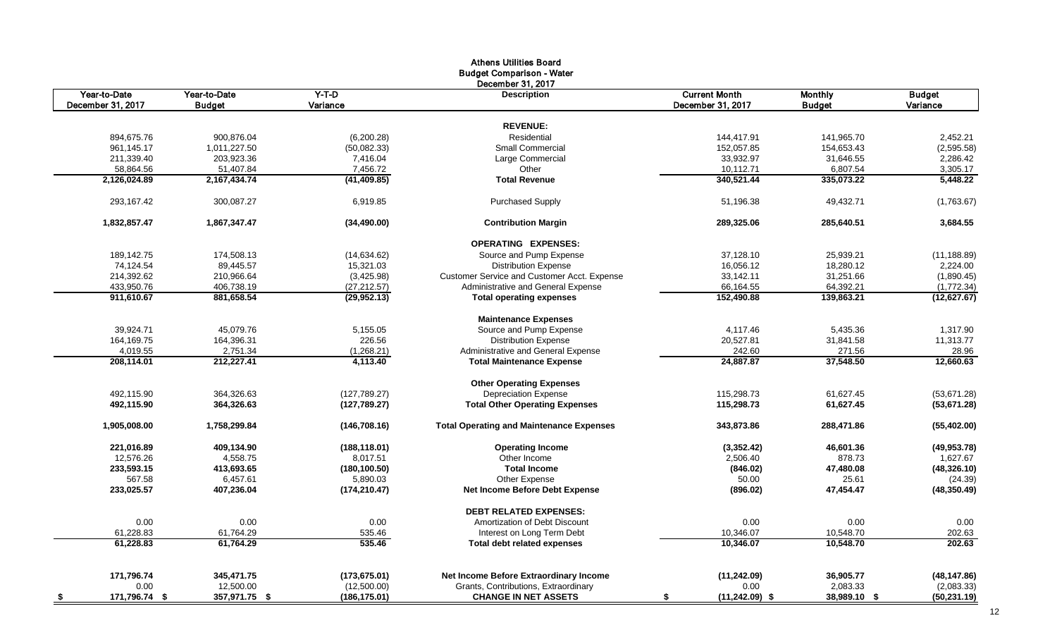|                   |               |               | <b>Athens Utilities Board</b>                   |                        |                |               |
|-------------------|---------------|---------------|-------------------------------------------------|------------------------|----------------|---------------|
|                   |               |               | <b>Budget Comparison - Water</b>                |                        |                |               |
| Year-to-Date      | Year-to-Date  | $Y-T-D$       | December 31, 2017<br><b>Description</b>         | <b>Current Month</b>   | <b>Monthly</b> | <b>Budget</b> |
| December 31, 2017 | <b>Budget</b> | Variance      |                                                 | December 31, 2017      | <b>Budget</b>  | Variance      |
|                   |               |               |                                                 |                        |                |               |
|                   |               |               | <b>REVENUE:</b>                                 |                        |                |               |
| 894,675.76        | 900,876.04    | (6,200.28)    | Residential                                     | 144,417.91             | 141,965.70     | 2,452.21      |
| 961,145.17        | 1,011,227.50  | (50,082.33)   | <b>Small Commercial</b>                         | 152,057.85             | 154,653.43     | (2,595.58)    |
| 211,339.40        | 203,923.36    | 7,416.04      | Large Commercial                                | 33,932.97              | 31,646.55      | 2,286.42      |
| 58,864.56         | 51,407.84     | 7,456.72      | Other                                           | 10,112.71              | 6,807.54       | 3,305.17      |
| 2,126,024.89      | 2,167,434.74  | (41, 409.85)  | <b>Total Revenue</b>                            | 340,521.44             | 335,073.22     | 5,448.22      |
| 293.167.42        | 300.087.27    | 6.919.85      | <b>Purchased Supply</b>                         | 51,196.38              | 49,432.71      | (1,763.67)    |
| 1,832,857.47      | 1,867,347.47  | (34, 490.00)  | <b>Contribution Margin</b>                      | 289,325.06             | 285,640.51     | 3,684.55      |
|                   |               |               | <b>OPERATING EXPENSES:</b>                      |                        |                |               |
| 189,142.75        | 174,508.13    | (14,634.62)   | Source and Pump Expense                         | 37,128.10              | 25,939.21      | (11, 188.89)  |
| 74,124.54         | 89,445.57     | 15,321.03     | <b>Distribution Expense</b>                     | 16,056.12              | 18,280.12      | 2,224.00      |
| 214,392.62        | 210,966.64    | (3,425.98)    | Customer Service and Customer Acct. Expense     | 33,142.11              | 31,251.66      | (1,890.45)    |
| 433,950.76        | 406,738.19    | (27, 212.57)  | Administrative and General Expense              | 66,164.55              | 64,392.21      | (1,772.34)    |
| 911,610.67        | 881,658.54    | (29,952.13)   | <b>Total operating expenses</b>                 | 152,490.88             | 139,863.21     | (12,627.67)   |
|                   |               |               | <b>Maintenance Expenses</b>                     |                        |                |               |
| 39,924.71         | 45,079.76     | 5,155.05      | Source and Pump Expense                         | 4,117.46               | 5,435.36       | 1,317.90      |
| 164,169.75        | 164,396.31    | 226.56        | <b>Distribution Expense</b>                     | 20,527.81              | 31,841.58      | 11,313.77     |
| 4,019.55          | 2,751.34      | (1,268.21)    | Administrative and General Expense              | 242.60                 | 271.56         | 28.96         |
| 208,114.01        | 212,227.41    | 4,113.40      | <b>Total Maintenance Expense</b>                | 24,887.87              | 37.548.50      | 12,660.63     |
|                   |               |               | <b>Other Operating Expenses</b>                 |                        |                |               |
| 492.115.90        | 364,326.63    | (127, 789.27) | <b>Depreciation Expense</b>                     | 115.298.73             | 61,627.45      | (53,671.28)   |
| 492,115.90        | 364,326.63    | (127,789.27)  | <b>Total Other Operating Expenses</b>           | 115,298.73             | 61,627.45      | (53, 671.28)  |
| 1,905,008.00      | 1,758,299.84  | (146, 708.16) | <b>Total Operating and Maintenance Expenses</b> | 343,873.86             | 288,471.86     | (55, 402.00)  |
| 221,016.89        | 409,134.90    | (188, 118.01) | <b>Operating Income</b>                         | (3,352.42)             | 46,601.36      | (49, 953.78)  |
| 12,576.26         | 4,558.75      | 8,017.51      | Other Income                                    | 2,506.40               | 878.73         | 1,627.67      |
| 233,593.15        | 413,693.65    | (180, 100.50) | <b>Total Income</b>                             | (846.02)               | 47,480.08      | (48, 326.10)  |
| 567.58            | 6,457.61      | 5,890.03      | Other Expense                                   | 50.00                  | 25.61          | (24.39)       |
| 233,025.57        | 407,236.04    | (174, 210.47) | Net Income Before Debt Expense                  | (896.02)               | 47,454.47      | (48, 350.49)  |
|                   |               |               | <b>DEBT RELATED EXPENSES:</b>                   |                        |                |               |
| 0.00              | 0.00          | 0.00          | Amortization of Debt Discount                   | 0.00                   | 0.00           | 0.00          |
| 61,228.83         | 61,764.29     | 535.46        | Interest on Long Term Debt                      | 10,346.07              | 10,548.70      | 202.63        |
| 61,228.83         | 61,764.29     | 535.46        | <b>Total debt related expenses</b>              | 10.346.07              | 10,548.70      | 202.63        |
| 171,796.74        | 345,471.75    | (173, 675.01) | Net Income Before Extraordinary Income          | (11, 242.09)           | 36,905.77      | (48, 147.86)  |
| 0.00              | 12,500.00     | (12,500.00)   | Grants, Contributions, Extraordinary            | 0.00                   | 2,083.33       | (2,083.33)    |
| 171,796.74 \$     | 357,971.75 \$ | (186, 175.01) | <b>CHANGE IN NET ASSETS</b>                     | $(11,242.09)$ \$<br>-S | 38,989.10 \$   | (50, 231.19)  |
| - \$              |               |               |                                                 |                        |                |               |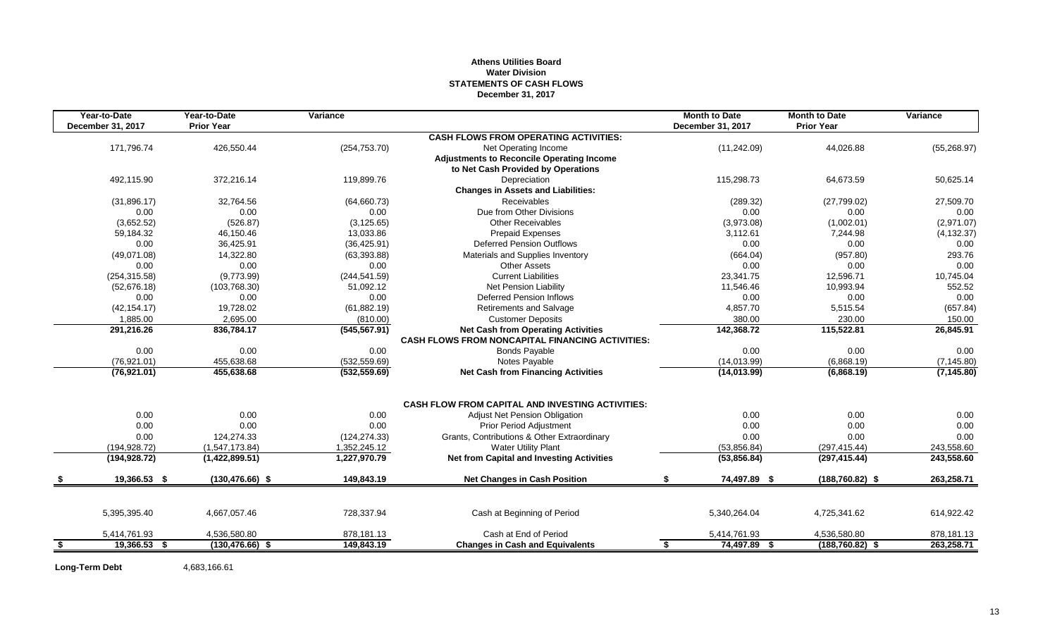#### **Athens Utilities Board Water Division STATEMENTS OF CASH FLOWS December 31, 2017**

|      | Year-to-Date<br>December 31, 2017 | Year-to-Date<br><b>Prior Year</b> | Variance      |                                                                                                      | <b>Month to Date</b> | <b>Month to Date</b><br><b>Prior Year</b> | Variance            |
|------|-----------------------------------|-----------------------------------|---------------|------------------------------------------------------------------------------------------------------|----------------------|-------------------------------------------|---------------------|
|      |                                   |                                   |               | <b>CASH FLOWS FROM OPERATING ACTIVITIES:</b>                                                         | December 31, 2017    |                                           |                     |
|      | 171,796.74                        | 426,550.44                        | (254, 753.70) |                                                                                                      |                      | 44,026.88                                 |                     |
|      |                                   |                                   |               | Net Operating Income<br><b>Adjustments to Reconcile Operating Income</b>                             | (11,242.09)          |                                           | (55, 268.97)        |
|      |                                   |                                   |               | to Net Cash Provided by Operations                                                                   |                      |                                           |                     |
|      | 492,115.90                        | 372,216.14                        | 119,899.76    | Depreciation                                                                                         | 115,298.73           | 64,673.59                                 | 50,625.14           |
|      |                                   |                                   |               | <b>Changes in Assets and Liabilities:</b>                                                            |                      |                                           |                     |
|      | (31,896.17)                       | 32.764.56                         | (64,660.73)   | Receivables                                                                                          | (289.32)             | (27,799.02)                               | 27,509.70           |
|      | 0.00                              | 0.00                              | 0.00          | Due from Other Divisions                                                                             | 0.00                 | 0.00                                      | 0.00                |
|      | (3,652.52)                        | (526.87)                          | (3, 125.65)   | <b>Other Receivables</b>                                                                             | (3,973.08)           | (1,002.01)                                | (2,971.07)          |
|      |                                   |                                   | 13,033.86     | <b>Prepaid Expenses</b>                                                                              | 3,112.61             | 7,244.98                                  |                     |
|      | 59,184.32<br>0.00                 | 46,150.46<br>36,425.91            |               | <b>Deferred Pension Outflows</b>                                                                     | 0.00                 | 0.00                                      | (4, 132.37)<br>0.00 |
|      | (49,071.08)                       |                                   | (36, 425.91)  |                                                                                                      |                      |                                           | 293.76              |
|      |                                   | 14,322.80                         | (63, 393.88)  | Materials and Supplies Inventory<br><b>Other Assets</b>                                              | (664.04)             | (957.80)                                  |                     |
|      | 0.00                              | 0.00                              | 0.00          |                                                                                                      | 0.00                 | 0.00                                      | 0.00                |
|      | (254, 315.58)                     | (9,773.99)                        | (244, 541.59) | <b>Current Liabilities</b>                                                                           | 23,341.75            | 12,596.71                                 | 10,745.04           |
|      | (52,676.18)                       | (103, 768.30)                     | 51,092.12     | Net Pension Liability                                                                                | 11,546.46            | 10,993.94                                 | 552.52              |
|      | 0.00                              | 0.00                              | 0.00          | <b>Deferred Pension Inflows</b>                                                                      | 0.00                 | 0.00                                      | 0.00                |
|      | (42, 154.17)                      | 19,728.02                         | (61, 882.19)  | <b>Retirements and Salvage</b>                                                                       | 4,857.70             | 5,515.54                                  | (657.84)            |
|      | 1,885.00                          | 2,695.00                          | (810.00)      | <b>Customer Deposits</b>                                                                             | 380.00               | 230.00                                    | 150.00              |
|      | 291,216.26                        | 836,784.17                        | (545, 567.91) | <b>Net Cash from Operating Activities</b><br><b>CASH FLOWS FROM NONCAPITAL FINANCING ACTIVITIES:</b> | 142,368.72           | 115,522.81                                | 26,845.91           |
|      | 0.00                              | 0.00                              | 0.00          | <b>Bonds Payable</b>                                                                                 | 0.00                 | 0.00                                      | 0.00                |
|      | (76, 921.01)                      | 455,638.68                        | (532, 559.69) | Notes Payable                                                                                        | (14,013.99)          | (6,868.19)                                | (7, 145.80)         |
|      | (76,921.01)                       | 455,638.68                        | (532, 559.69) | <b>Net Cash from Financing Activities</b>                                                            | (14,013.99)          | (6,868.19)                                | (7, 145.80)         |
|      |                                   |                                   |               | <b>CASH FLOW FROM CAPITAL AND INVESTING ACTIVITIES:</b>                                              |                      |                                           |                     |
|      | 0.00                              | 0.00                              | 0.00          | Adjust Net Pension Obligation                                                                        | 0.00                 | 0.00                                      | 0.00                |
|      | 0.00                              | 0.00                              | 0.00          | Prior Period Adjustment                                                                              | 0.00                 | 0.00                                      | 0.00                |
|      | 0.00                              | 124,274.33                        | (124, 274.33) | Grants, Contributions & Other Extraordinary                                                          | 0.00                 | 0.00                                      | 0.00                |
|      | (194, 928.72)                     | (1,547,173.84)                    | 1,352,245.12  | <b>Water Utility Plant</b>                                                                           | (53,856.84)          | (297, 415.44)                             | 243,558.60          |
|      | (194, 928.72)                     | (1,422,899.51)                    | 1,227,970.79  | <b>Net from Capital and Investing Activities</b>                                                     | (53,856.84)          | (297, 415.44)                             | 243,558.60          |
|      | 19,366.53 \$                      | $(130, 476.66)$ \$                | 149,843.19    | <b>Net Changes in Cash Position</b>                                                                  | 74,497.89 \$<br>\$   | $(188, 760.82)$ \$                        | 263,258.71          |
|      |                                   |                                   |               |                                                                                                      |                      |                                           |                     |
|      | 5,395,395.40                      | 4,667,057.46                      | 728,337.94    | Cash at Beginning of Period                                                                          | 5,340,264.04         | 4,725,341.62                              | 614,922.42          |
|      | 5,414,761.93                      | 4,536,580.80                      | 878,181.13    | Cash at End of Period                                                                                | 5,414,761.93         | 4,536,580.80                              | 878,181.13          |
| - \$ | 19,366.53 \$                      | $(130, 476.66)$ \$                | 149,843.19    | <b>Changes in Cash and Equivalents</b>                                                               | 74,497.89 \$<br>\$   | $(188, 760.82)$ \$                        | 263,258.71          |

Long-Term Debt 4,683,166.61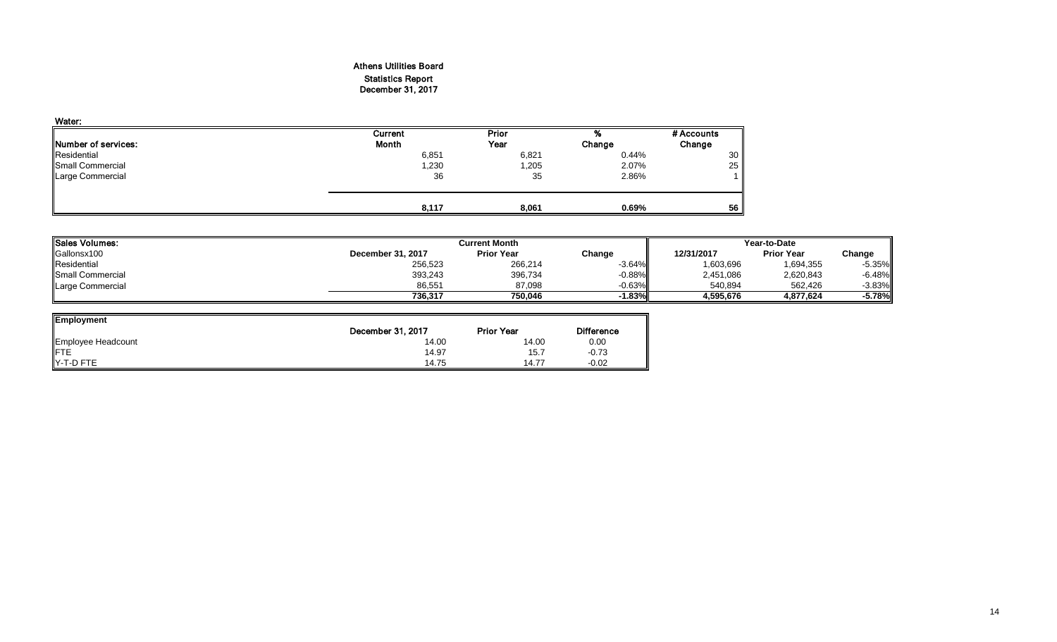#### Athens Utilities Board Statistics Report December 31, 2017

| Water:                      |         |       |        |            |
|-----------------------------|---------|-------|--------|------------|
|                             | Current | Prior | %      | # Accounts |
| <b>INumber of services:</b> | Month   | Year  | Change | Change     |
| Residential                 | 6,851   | 6,821 | 0.44%  | 30         |
| Small Commercial            | 230,    | 1,205 | 2.07%  | 25         |
| <b>Large Commercial</b>     | 36      | 35    | 2.86%  |            |
|                             | 8.117   | 8,061 | 0.69%  | 56         |

| lSales Volumes:           |                   | <b>Current Month</b> |          |            |                   | Year-to-Date |  |  |
|---------------------------|-------------------|----------------------|----------|------------|-------------------|--------------|--|--|
| Gallonsx100               | December 31, 2017 | <b>Prior Year</b>    | Change   | 12/31/2017 | <b>Prior Year</b> | Change       |  |  |
| Residential               | 256,523           | 266,214              | $-3.64%$ | 1,603,696  | 1,694,355         | $-5.35\%$    |  |  |
| <b>I</b> Small Commercial | 393,243           | 396,734              | $-0.88%$ | 2,451,086  | 2,620,843         | $-6.48\%$    |  |  |
| Large Commercial          | 86,551            | 87,098               | $-0.63%$ | 540,894    | 562,426           | $-3.83\%$    |  |  |
|                           | 736.317           | 750.046              | $-1.83%$ | 4.595.676  | 4.877.624         | $-5.78%$     |  |  |

| <b>Employment</b>  |                   |                   |                   |
|--------------------|-------------------|-------------------|-------------------|
|                    | December 31, 2017 | <b>Prior Year</b> | <b>Difference</b> |
| Employee Headcount | 14.00             | 14.00             | 0.00              |
| <b>IFTE</b>        | 14.97             | 15.7              | $-0.73$           |
| Y-T-D FTE          | 14.75             | 14.77             | $-0.02$           |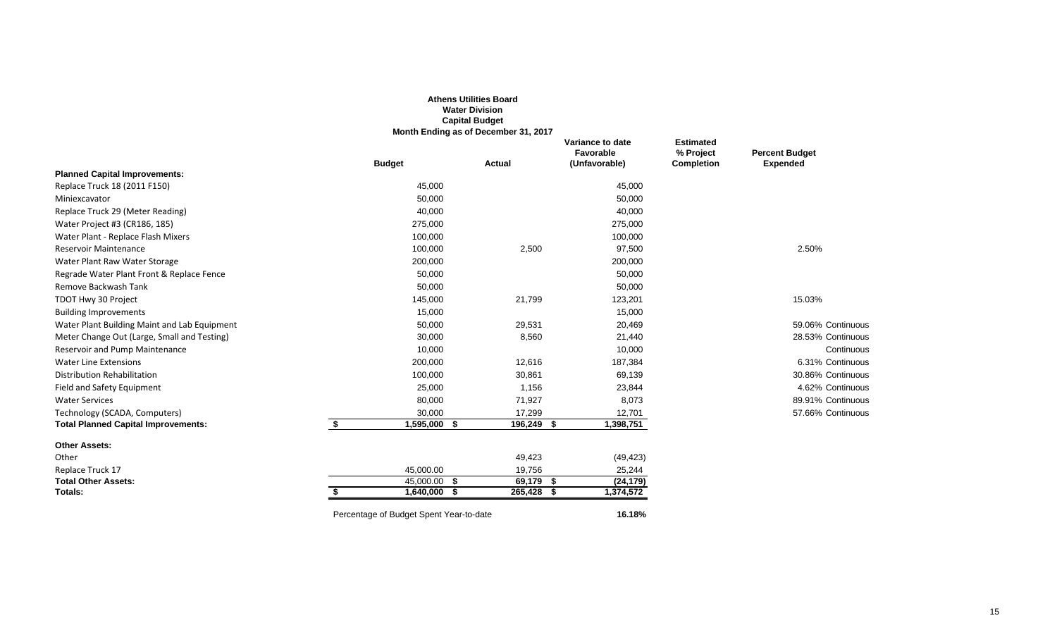|                                              |                                         | <b>Athens Utilities Board</b><br><b>Water Division</b><br><b>Capital Budget</b><br>Month Ending as of December 31, 2017 |                                                |                                                    |                                          |
|----------------------------------------------|-----------------------------------------|-------------------------------------------------------------------------------------------------------------------------|------------------------------------------------|----------------------------------------------------|------------------------------------------|
|                                              | <b>Budget</b>                           | <b>Actual</b>                                                                                                           | Variance to date<br>Favorable<br>(Unfavorable) | <b>Estimated</b><br>% Project<br><b>Completion</b> | <b>Percent Budget</b><br><b>Expended</b> |
| <b>Planned Capital Improvements:</b>         |                                         |                                                                                                                         |                                                |                                                    |                                          |
| Replace Truck 18 (2011 F150)                 | 45,000                                  |                                                                                                                         | 45,000                                         |                                                    |                                          |
| Miniexcavator                                | 50,000                                  |                                                                                                                         | 50,000                                         |                                                    |                                          |
| Replace Truck 29 (Meter Reading)             | 40,000                                  |                                                                                                                         | 40,000                                         |                                                    |                                          |
| Water Project #3 (CR186, 185)                | 275,000                                 |                                                                                                                         | 275,000                                        |                                                    |                                          |
| Water Plant - Replace Flash Mixers           | 100,000                                 |                                                                                                                         | 100,000                                        |                                                    |                                          |
| <b>Reservoir Maintenance</b>                 | 100,000                                 | 2,500                                                                                                                   | 97,500                                         |                                                    | 2.50%                                    |
| Water Plant Raw Water Storage                | 200,000                                 |                                                                                                                         | 200,000                                        |                                                    |                                          |
| Regrade Water Plant Front & Replace Fence    | 50,000                                  |                                                                                                                         | 50,000                                         |                                                    |                                          |
| Remove Backwash Tank                         | 50,000                                  |                                                                                                                         | 50,000                                         |                                                    |                                          |
| TDOT Hwy 30 Project                          | 145,000                                 | 21,799                                                                                                                  | 123,201                                        |                                                    | 15.03%                                   |
| <b>Building Improvements</b>                 | 15,000                                  |                                                                                                                         | 15,000                                         |                                                    |                                          |
| Water Plant Building Maint and Lab Equipment | 50,000                                  | 29,531                                                                                                                  | 20,469                                         |                                                    | 59.06% Continuous                        |
| Meter Change Out (Large, Small and Testing)  | 30,000                                  | 8,560                                                                                                                   | 21,440                                         |                                                    | 28.53% Continuous                        |
| Reservoir and Pump Maintenance               | 10,000                                  |                                                                                                                         | 10,000                                         |                                                    | Continuous                               |
| <b>Water Line Extensions</b>                 | 200,000                                 | 12,616                                                                                                                  | 187,384                                        |                                                    | 6.31% Continuous                         |
| Distribution Rehabilitation                  | 100,000                                 | 30,861                                                                                                                  | 69,139                                         |                                                    | 30.86% Continuous                        |
| Field and Safety Equipment                   | 25,000                                  | 1,156                                                                                                                   | 23,844                                         |                                                    | 4.62% Continuous                         |
| <b>Water Services</b>                        | 80,000                                  | 71,927                                                                                                                  | 8,073                                          |                                                    | 89.91% Continuous                        |
| Technology (SCADA, Computers)                | 30,000                                  | 17,299                                                                                                                  | 12,701                                         |                                                    | 57.66% Continuous                        |
| <b>Total Planned Capital Improvements:</b>   | \$<br>$1,595,000$ \$                    | 196,249 \$                                                                                                              | 1,398,751                                      |                                                    |                                          |
| <b>Other Assets:</b>                         |                                         |                                                                                                                         |                                                |                                                    |                                          |
| Other                                        |                                         | 49,423                                                                                                                  | (49, 423)                                      |                                                    |                                          |
| Replace Truck 17                             | 45,000.00                               | 19,756                                                                                                                  | 25,244                                         |                                                    |                                          |
| <b>Total Other Assets:</b>                   | $\overline{45,000.00}$ \$               | 69,179 \$                                                                                                               | (24, 179)                                      |                                                    |                                          |
| Totals:                                      | $1,640,000$ \$                          | 265,428 \$                                                                                                              | 1,374,572                                      |                                                    |                                          |
|                                              | Percentage of Budget Spent Year-to-date |                                                                                                                         | 16.18%                                         |                                                    |                                          |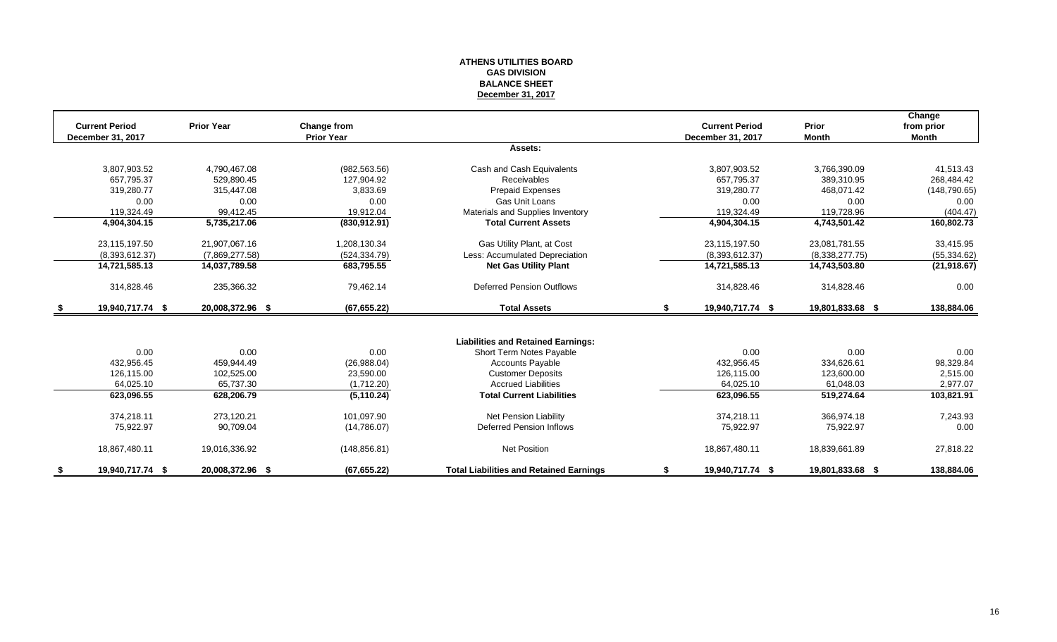#### **ATHENS UTILITIES BOARD GAS DIVISION BALANCE SHEET December 31, 2017**

|      | <b>Current Period</b> | <b>Prior Year</b> | Change from       |                                                |    | <b>Current Period</b> | Prior            | Change<br>from prior |
|------|-----------------------|-------------------|-------------------|------------------------------------------------|----|-----------------------|------------------|----------------------|
|      | December 31, 2017     |                   | <b>Prior Year</b> |                                                |    | December 31, 2017     | <b>Month</b>     | Month                |
|      |                       |                   |                   | Assets:                                        |    |                       |                  |                      |
|      | 3,807,903.52          | 4,790,467.08      | (982, 563.56)     | Cash and Cash Equivalents                      |    | 3,807,903.52          | 3,766,390.09     | 41,513.43            |
|      | 657.795.37            | 529.890.45        | 127.904.92        | Receivables                                    |    | 657.795.37            | 389.310.95       | 268,484.42           |
|      | 319,280.77            | 315,447.08        | 3.833.69          | <b>Prepaid Expenses</b>                        |    | 319,280.77            | 468,071.42       | (148, 790.65)        |
|      | 0.00                  | 0.00              | 0.00              | Gas Unit Loans                                 |    | 0.00                  | 0.00             | 0.00                 |
|      | 119.324.49            | 99,412.45         | 19,912.04         | Materials and Supplies Inventory               |    | 119,324.49            | 119,728.96       | (404.47)             |
|      | 4,904,304.15          | 5,735,217.06      | (830, 912.91)     | <b>Total Current Assets</b>                    |    | 4,904,304.15          | 4,743,501.42     | 160,802.73           |
|      | 23,115,197.50         | 21,907,067.16     | 1,208,130.34      | Gas Utility Plant, at Cost                     |    | 23,115,197.50         | 23,081,781.55    | 33,415.95            |
|      | (8,393,612.37)        | (7,869,277.58)    | (524, 334.79)     | Less: Accumulated Depreciation                 |    | (8,393,612.37)        | (8,338,277.75)   | (55, 334.62)         |
|      | 14,721,585.13         | 14,037,789.58     | 683,795.55        | <b>Net Gas Utility Plant</b>                   |    | 14,721,585.13         | 14,743,503.80    | (21, 918.67)         |
|      | 314,828.46            | 235,366.32        | 79.462.14         | <b>Deferred Pension Outflows</b>               |    | 314,828.46            | 314,828.46       | 0.00                 |
| - 56 | 19,940,717.74 \$      | 20,008,372.96 \$  | (67, 655.22)      | <b>Total Assets</b>                            | S. | 19,940,717.74 \$      | 19,801,833.68 \$ | 138,884.06           |
|      |                       |                   |                   |                                                |    |                       |                  |                      |
|      |                       |                   |                   | <b>Liabilities and Retained Earnings:</b>      |    |                       |                  |                      |
|      | 0.00                  | 0.00              | 0.00              | Short Term Notes Payable                       |    | 0.00                  | 0.00             | 0.00                 |
|      | 432.956.45            | 459.944.49        | (26,988.04)       | <b>Accounts Payable</b>                        |    | 432.956.45            | 334,626.61       | 98,329.84            |
|      | 126,115.00            | 102,525.00        | 23,590.00         | <b>Customer Deposits</b>                       |    | 126,115.00            | 123,600.00       | 2,515.00             |
|      | 64,025.10             | 65,737.30         | (1,712.20)        | <b>Accrued Liabilities</b>                     |    | 64,025.10             | 61,048.03        | 2,977.07             |
|      | 623,096.55            | 628,206.79        | (5, 110.24)       | <b>Total Current Liabilities</b>               |    | 623,096.55            | 519,274.64       | 103,821.91           |
|      | 374,218.11            | 273.120.21        | 101.097.90        | Net Pension Liability                          |    | 374,218.11            | 366.974.18       | 7,243.93             |
|      | 75,922.97             | 90,709.04         | (14,786.07)       | Deferred Pension Inflows                       |    | 75,922.97             | 75,922.97        | 0.00                 |
|      | 18,867,480.11         | 19,016,336.92     | (148, 856.81)     | <b>Net Position</b>                            |    | 18,867,480.11         | 18,839,661.89    | 27,818.22            |
|      | 19,940,717.74 \$      | 20,008,372.96 \$  | (67, 655.22)      | <b>Total Liabilities and Retained Earnings</b> |    | 19,940,717.74 \$      | 19,801,833.68 \$ | 138,884.06           |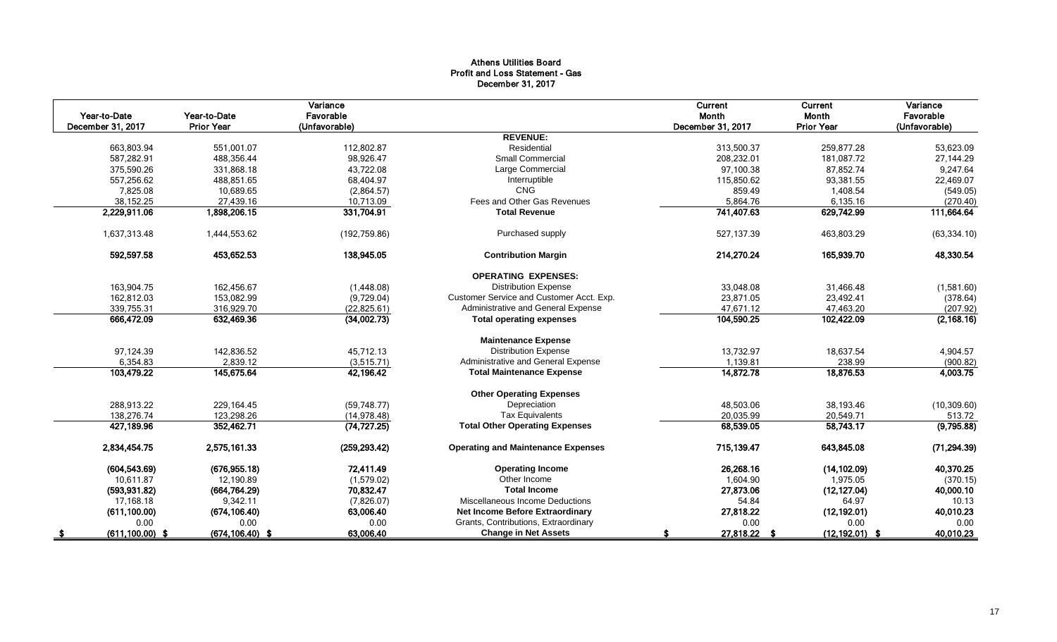#### Athens Utilities Board Profit and Loss Statement - Gas December 31, 2017

| Year-to-Date       | Year-to-Date       | Variance<br>Favorable |                                           | Current<br>Month  | Current<br>Month  | Variance<br>Favorable |
|--------------------|--------------------|-----------------------|-------------------------------------------|-------------------|-------------------|-----------------------|
| December 31, 2017  | <b>Prior Year</b>  | (Unfavorable)         |                                           | December 31, 2017 | <b>Prior Year</b> | (Unfavorable)         |
|                    |                    |                       | <b>REVENUE:</b>                           |                   |                   |                       |
| 663.803.94         | 551.001.07         | 112.802.87            | Residential                               | 313.500.37        | 259.877.28        | 53,623.09             |
| 587,282.91         | 488,356.44         | 98,926.47             | <b>Small Commercial</b>                   | 208,232.01        | 181,087.72        | 27,144.29             |
| 375,590.26         | 331,868.18         | 43,722.08             | Large Commercial                          | 97,100.38         | 87,852.74         | 9,247.64              |
| 557,256.62         | 488,851.65         | 68,404.97             | Interruptible                             | 115,850.62        | 93.381.55         | 22,469.07             |
| 7,825.08           | 10,689.65          | (2,864.57)            | CNG                                       | 859.49            | 1.408.54          | (549.05)              |
| 38,152.25          | 27,439.16          | 10,713.09             | Fees and Other Gas Revenues               | 5,864.76          | 6,135.16          | (270.40)              |
| 2,229,911.06       | 1,898,206.15       | 331,704.91            | <b>Total Revenue</b>                      | 741,407.63        | 629,742.99        | 111,664.64            |
| 1,637,313.48       | 1,444,553.62       | (192, 759.86)         | Purchased supply                          | 527.137.39        | 463.803.29        | (63, 334.10)          |
| 592,597.58         | 453,652.53         | 138,945.05            | <b>Contribution Margin</b>                | 214,270.24        | 165,939.70        | 48,330.54             |
|                    |                    |                       | <b>OPERATING EXPENSES:</b>                |                   |                   |                       |
| 163,904.75         | 162,456.67         | (1,448.08)            | <b>Distribution Expense</b>               | 33,048.08         | 31,466.48         | (1,581.60)            |
| 162,812.03         | 153,082.99         | (9,729.04)            | Customer Service and Customer Acct. Exp.  | 23,871.05         | 23,492.41         | (378.64)              |
| 339,755.31         | 316,929.70         | (22, 825.61)          | Administrative and General Expense        | 47,671.12         | 47,463.20         | (207.92)              |
| 666,472.09         | 632,469.36         | (34,002.73)           | <b>Total operating expenses</b>           | 104,590.25        | 102,422.09        | (2, 168.16)           |
|                    |                    |                       | <b>Maintenance Expense</b>                |                   |                   |                       |
| 97,124.39          | 142,836.52         | 45,712.13             | <b>Distribution Expense</b>               | 13,732.97         | 18,637.54         | 4,904.57              |
| 6,354.83           | 2,839.12           | (3,515.71)            | Administrative and General Expense        | 1.139.81          | 238.99            | (900.82)              |
| 103,479.22         | 145,675.64         | 42,196.42             | <b>Total Maintenance Expense</b>          | 14,872.78         | 18,876.53         | 4,003.75              |
|                    |                    |                       | <b>Other Operating Expenses</b>           |                   |                   |                       |
| 288,913.22         | 229,164.45         | (59,748.77)           | Depreciation                              | 48,503.06         | 38,193.46         | (10, 309.60)          |
| 138.276.74         | 123,298.26         | (14, 978.48)          | <b>Tax Equivalents</b>                    | 20,035.99         | 20,549.71         | 513.72                |
| 427,189.96         | 352,462.71         | (74, 727.25)          | <b>Total Other Operating Expenses</b>     | 68,539.05         | 58,743.17         | (9,795.88)            |
| 2,834,454.75       | 2,575,161.33       | (259, 293.42)         | <b>Operating and Maintenance Expenses</b> | 715,139.47        | 643,845.08        | (71, 294.39)          |
| (604, 543.69)      | (676, 955.18)      | 72,411.49             | <b>Operating Income</b>                   | 26,268.16         | (14, 102.09)      | 40,370.25             |
| 10,611.87          | 12,190.89          | (1,579.02)            | Other Income                              | 1,604.90          | 1,975.05          | (370.15)              |
| (593, 931.82)      | (664, 764.29)      | 70,832.47             | <b>Total Income</b>                       | 27,873.06         | (12, 127.04)      | 40,000.10             |
| 17,168.18          | 9,342.11           | (7,826.07)            | Miscellaneous Income Deductions           | 54.84             | 64.97             | 10.13                 |
| (611, 100.00)      | (674, 106.40)      | 63,006.40             | Net Income Before Extraordinary           | 27,818.22         | (12, 192.01)      | 40,010.23             |
| 0.00               | 0.00               | 0.00                  | Grants, Contributions, Extraordinary      | 0.00              | 0.00              | 0.00                  |
| $(611, 100.00)$ \$ | $(674, 106.40)$ \$ | 63,006.40             | <b>Change in Net Assets</b>               | 27,818.22 \$      | $(12, 192.01)$ \$ | 40,010.23             |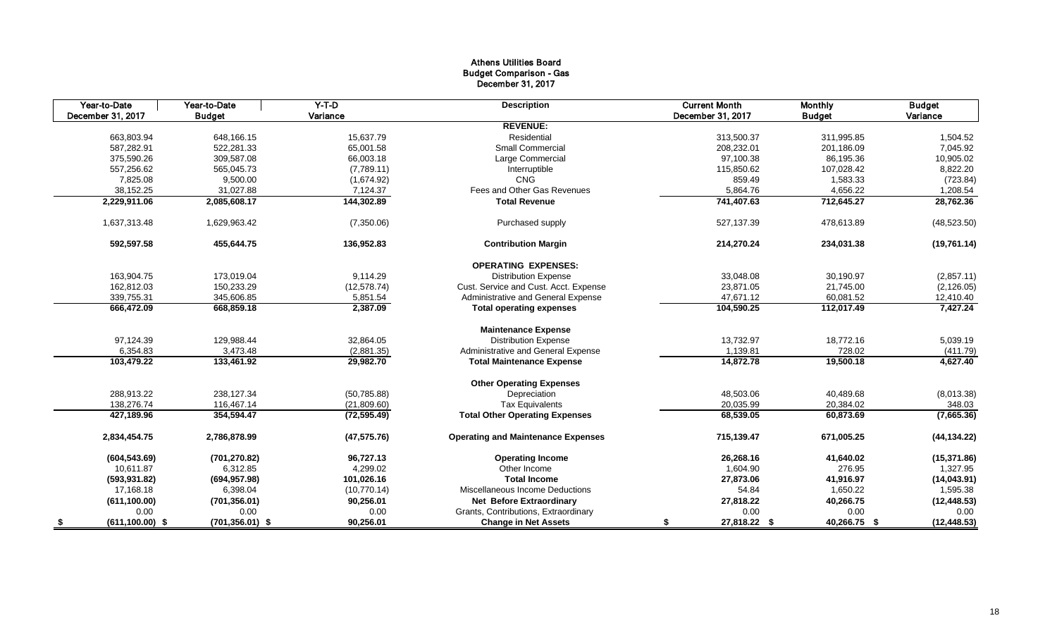#### Athens Utilities Board Budget Comparison - Gas December 31, 2017

| Year-to-Date      | Year-to-Date                             | $Y-T-D$      | <b>Description</b>                        | <b>Current Month</b> | <b>Monthly</b> | <b>Budget</b> |
|-------------------|------------------------------------------|--------------|-------------------------------------------|----------------------|----------------|---------------|
| December 31, 2017 | <b>Budget</b>                            | Variance     |                                           | December 31, 2017    | <b>Budget</b>  | Variance      |
|                   |                                          |              | <b>REVENUE:</b>                           |                      |                |               |
| 663,803.94        | 648,166.15                               | 15,637.79    | Residential                               | 313,500.37           | 311,995.85     | 1,504.52      |
| 587,282.91        | 522,281.33                               | 65,001.58    | <b>Small Commercial</b>                   | 208,232.01           | 201,186.09     | 7,045.92      |
| 375,590.26        | 309,587.08                               | 66,003.18    | Large Commercial                          | 97,100.38            | 86,195.36      | 10,905.02     |
| 557,256.62        | 565,045.73                               | (7,789.11)   | Interruptible                             | 115,850.62           | 107,028.42     | 8,822.20      |
|                   | 7,825.08<br>9,500.00                     | (1,674.92)   | <b>CNG</b>                                | 859.49               | 1,583.33       | (723.84)      |
| 38,152.25         | 31,027.88                                | 7,124.37     | Fees and Other Gas Revenues               | 5,864.76             | 4,656.22       | 1,208.54      |
| 2,229,911.06      | 2,085,608.17                             | 144,302.89   | <b>Total Revenue</b>                      | 741,407.63           | 712,645.27     | 28,762.36     |
| 1,637,313.48      | 1,629,963.42                             | (7,350.06)   | Purchased supply                          | 527,137.39           | 478,613.89     | (48, 523.50)  |
| 592,597.58        | 455,644.75                               | 136,952.83   | <b>Contribution Margin</b>                | 214,270.24           | 234,031.38     | (19,761.14)   |
|                   |                                          |              | <b>OPERATING EXPENSES:</b>                |                      |                |               |
| 163,904.75        | 173,019.04                               | 9,114.29     | <b>Distribution Expense</b>               | 33,048.08            | 30,190.97      | (2,857.11)    |
| 162,812.03        | 150,233.29                               | (12, 578.74) | Cust. Service and Cust. Acct. Expense     | 23,871.05            | 21,745.00      | (2, 126.05)   |
| 339,755.31        | 345,606.85                               | 5,851.54     | Administrative and General Expense        | 47,671.12            | 60,081.52      | 12,410.40     |
| 666,472.09        | 668,859.18                               | 2,387.09     | <b>Total operating expenses</b>           | 104,590.25           | 112,017.49     | 7,427.24      |
|                   |                                          |              | <b>Maintenance Expense</b>                |                      |                |               |
| 97,124.39         | 129,988.44                               | 32,864.05    | <b>Distribution Expense</b>               | 13,732.97            | 18,772.16      | 5,039.19      |
|                   | 6,354.83<br>3,473.48                     | (2,881.35)   | Administrative and General Expense        | 1,139.81             | 728.02         | (411.79)      |
| 103,479.22        | 133,461.92                               | 29,982.70    | <b>Total Maintenance Expense</b>          | 14,872.78            | 19,500.18      | 4,627.40      |
|                   |                                          |              | <b>Other Operating Expenses</b>           |                      |                |               |
| 288.913.22        | 238.127.34                               | (50, 785.88) | Depreciation                              | 48,503.06            | 40,489.68      | (8,013.38)    |
| 138,276.74        | 116,467.14                               | (21,809.60)  | <b>Tax Equivalents</b>                    | 20,035.99            | 20,384.02      | 348.03        |
| 427,189.96        | 354,594.47                               | (72, 595.49) | <b>Total Other Operating Expenses</b>     | 68,539.05            | 60,873.69      | (7,665.36)    |
| 2,834,454.75      | 2,786,878.99                             | (47, 575.76) | <b>Operating and Maintenance Expenses</b> | 715,139.47           | 671,005.25     | (44, 134.22)  |
| (604, 543.69)     | (701, 270.82)                            | 96,727.13    | <b>Operating Income</b>                   | 26,268.16            | 41,640.02      | (15, 371.86)  |
| 10,611.87         | 6,312.85                                 | 4,299.02     | Other Income                              | 1,604.90             | 276.95         | 1,327.95      |
| (593, 931.82)     | (694, 957.98)                            | 101,026.16   | <b>Total Income</b>                       | 27,873.06            | 41,916.97      | (14,043.91)   |
| 17,168.18         | 6,398.04                                 | (10,770.14)  | Miscellaneous Income Deductions           | 54.84                | 1,650.22       | 1,595.38      |
| (611, 100.00)     | (701, 356.01)                            | 90,256.01    | <b>Net Before Extraordinary</b>           | 27,818.22            | 40,266.75      | (12, 448.53)  |
|                   | 0.00<br>0.00                             | 0.00         | Grants, Contributions, Extraordinary      | 0.00                 | 0.00           | 0.00          |
| - \$              | $(701, 356.01)$ \$<br>$(611, 100.00)$ \$ | 90,256.01    | <b>Change in Net Assets</b>               | 27,818.22 \$<br>\$   | 40,266.75 \$   | (12, 448.53)  |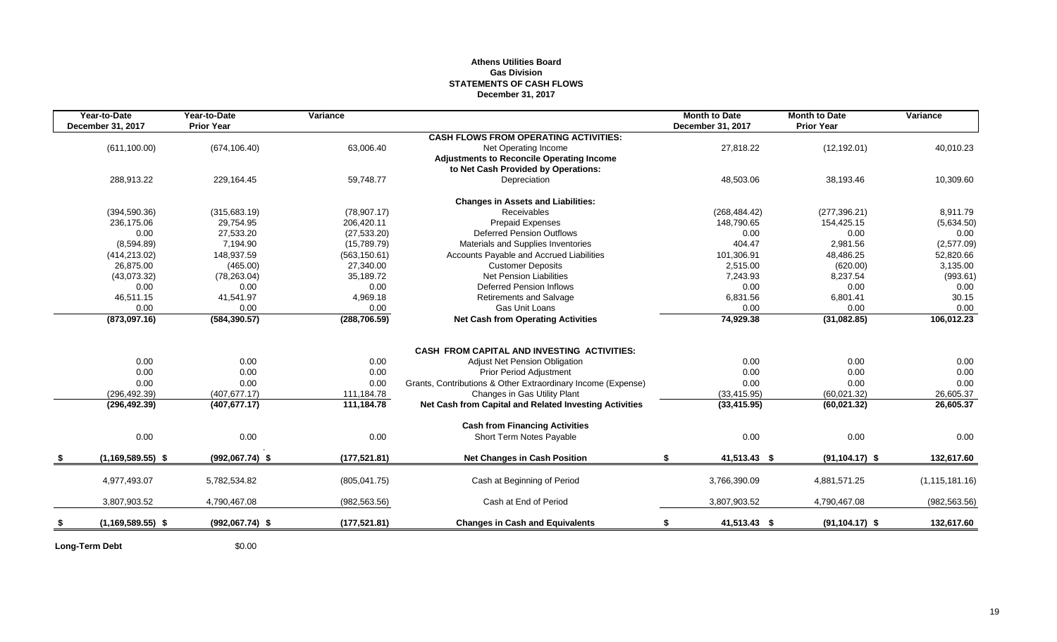#### **Athens Utilities Board Gas Division STATEMENTS OF CASH FLOWS December 31, 2017**

| Year-to-Date          | Year-to-Date      | Variance      |                                                                                         | <b>Month to Date</b> | <b>Month to Date</b> | Variance         |
|-----------------------|-------------------|---------------|-----------------------------------------------------------------------------------------|----------------------|----------------------|------------------|
| December 31, 2017     | <b>Prior Year</b> |               |                                                                                         | December 31, 2017    | <b>Prior Year</b>    |                  |
|                       |                   |               | <b>CASH FLOWS FROM OPERATING ACTIVITIES:</b>                                            |                      |                      |                  |
| (611, 100.00)         | (674, 106.40)     | 63,006.40     | Net Operating Income                                                                    | 27,818.22            | (12, 192.01)         | 40,010.23        |
|                       |                   |               | <b>Adjustments to Reconcile Operating Income</b><br>to Net Cash Provided by Operations: |                      |                      |                  |
| 288,913.22            | 229,164.45        | 59,748.77     | Depreciation                                                                            | 48,503.06            | 38,193.46            | 10,309.60        |
|                       |                   |               |                                                                                         |                      |                      |                  |
|                       |                   |               | <b>Changes in Assets and Liabilities:</b>                                               |                      |                      |                  |
| (394, 590.36)         | (315,683.19)      | (78,907.17)   | <b>Receivables</b>                                                                      | (268, 484.42)        | (277, 396.21)        | 8,911.79         |
| 236,175.06            | 29,754.95         | 206,420.11    | <b>Prepaid Expenses</b>                                                                 | 148,790.65           | 154,425.15           | (5,634.50)       |
| 0.00                  | 27,533.20         | (27, 533.20)  | <b>Deferred Pension Outflows</b>                                                        | 0.00                 | 0.00                 | 0.00             |
| (8,594.89)            | 7,194.90          | (15,789.79)   | Materials and Supplies Inventories                                                      | 404.47               | 2.981.56             | (2,577.09)       |
| (414, 213.02)         | 148,937.59        | (563, 150.61) | Accounts Payable and Accrued Liabilities                                                | 101,306.91           | 48,486.25            | 52,820.66        |
| 26.875.00             | (465.00)          | 27,340.00     | <b>Customer Deposits</b>                                                                | 2,515.00             | (620.00)             | 3,135.00         |
| (43,073.32)           | (78, 263.04)      | 35,189.72     | <b>Net Pension Liabilities</b>                                                          | 7,243.93             | 8,237.54             | (993.61)         |
| 0.00                  | 0.00              | 0.00          | <b>Deferred Pension Inflows</b>                                                         | 0.00                 | 0.00                 | 0.00             |
| 46,511.15             | 41,541.97         | 4,969.18      | <b>Retirements and Salvage</b>                                                          | 6,831.56             | 6,801.41             | 30.15            |
| 0.00                  | 0.00              | 0.00          | Gas Unit Loans                                                                          | 0.00                 | 0.00                 | 0.00             |
| (873,097.16)          | (584, 390.57)     | (288, 706.59) | <b>Net Cash from Operating Activities</b>                                               | 74,929.38            | (31,082.85)          | 106,012.23       |
|                       |                   |               |                                                                                         |                      |                      |                  |
|                       |                   |               | <b>CASH FROM CAPITAL AND INVESTING ACTIVITIES:</b>                                      |                      |                      |                  |
| 0.00                  | 0.00              | 0.00          | <b>Adjust Net Pension Obligation</b>                                                    | 0.00                 | 0.00                 | 0.00             |
| 0.00                  | 0.00              | 0.00          | <b>Prior Period Adjustment</b>                                                          | 0.00                 | 0.00                 | 0.00             |
| 0.00                  | 0.00              | 0.00          | Grants, Contributions & Other Extraordinary Income (Expense)                            | 0.00                 | 0.00                 | 0.00             |
| (296, 492.39)         | (407.677.17)      | 111,184.78    | Changes in Gas Utility Plant                                                            | (33, 415.95)         | (60,021.32)          | 26,605.37        |
| (296, 492.39)         | (407, 677.17)     | 111,184.78    | Net Cash from Capital and Related Investing Activities                                  | (33, 415.95)         | (60, 021.32)         | 26,605.37        |
|                       |                   |               | <b>Cash from Financing Activities</b>                                                   |                      |                      |                  |
| 0.00                  | 0.00              | 0.00          | Short Term Notes Payable                                                                | 0.00                 | 0.00                 | 0.00             |
| $(1, 169, 589.55)$ \$ | $(992,067.74)$ \$ | (177, 521.81) | <b>Net Changes in Cash Position</b>                                                     | S.<br>41,513.43 \$   | $(91, 104.17)$ \$    | 132,617.60       |
|                       |                   |               |                                                                                         |                      |                      |                  |
| 4,977,493.07          | 5,782,534.82      | (805, 041.75) | Cash at Beginning of Period                                                             | 3,766,390.09         | 4,881,571.25         | (1, 115, 181.16) |
| 3,807,903.52          | 4,790,467.08      | (982, 563.56) | Cash at End of Period                                                                   | 3,807,903.52         | 4,790,467.08         | (982, 563.56)    |
| $(1, 169, 589.55)$ \$ | $(992,067.74)$ \$ | (177, 521.81) | <b>Changes in Cash and Equivalents</b>                                                  | 41,513.43 \$<br>\$   | $(91, 104.17)$ \$    | 132,617.60       |
|                       |                   |               |                                                                                         |                      |                      |                  |

**Long-Term Debt** \$0.00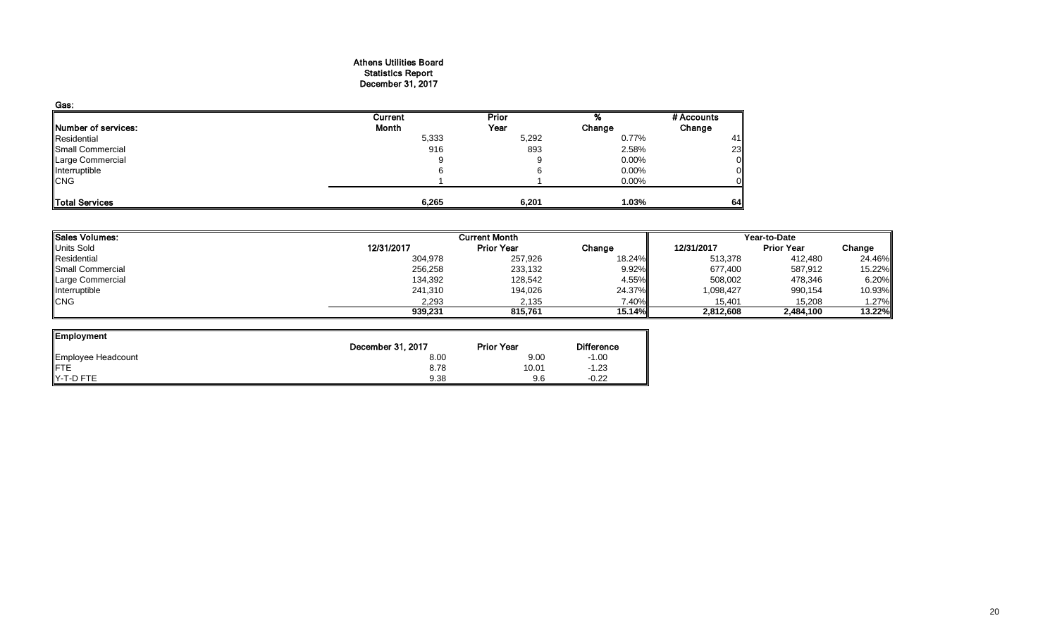#### Athens Utilities Board Statistics Report December 31, 2017

| Gas:                |         |       |          |            |
|---------------------|---------|-------|----------|------------|
|                     | Current | Prior |          | # Accounts |
| Number of services: | Month   | Year  | Change   | Change     |
| Residential         | 5,333   | 5,292 | 0.77%    | 41         |
| Small Commercial    | 916     | 893   | 2.58%    | 23         |
| Large Commercial    | 9       |       | $0.00\%$ |            |
| Interruptible       |         |       | 0.00%    |            |
| <b>CNG</b>          |         |       | 0.00%    |            |
|                     |         |       |          |            |
| Total Services      | 6,265   | 6,201 | 1.03%    | 64         |

| <b>Sales Volumes:</b><br><b>Current Month</b> |                   |          | Year-to-Date |                   |        |  |
|-----------------------------------------------|-------------------|----------|--------------|-------------------|--------|--|
| 12/31/2017                                    | <b>Prior Year</b> | Change   | 12/31/2017   | <b>Prior Year</b> | Change |  |
| 304,978                                       | 257,926           | 18.24%   | 513,378      | 412,480           | 24.46% |  |
| 256,258                                       | 233,132           | $9.92\%$ | 677,400      | 587,912           | 15.22% |  |
| 134,392                                       | 128,542           | 4.55%    | 508,002      | 478,346           | 6.20%  |  |
| 241,310                                       | 194,026           | 24.37%   | 1,098,427    | 990,154           | 10.93% |  |
| 2,293                                         | 2,135             | 7.40%    | 15,401       | 15,208            | 1.27%  |  |
| 939,231                                       | 815.761           | 15.14%   | 2,812,608    | 2,484,100         | 13.22% |  |
|                                               |                   |          |              |                   |        |  |

 $\overline{\phantom{0}}$ 

| Employment                     |                   |                   |                   |
|--------------------------------|-------------------|-------------------|-------------------|
|                                | December 31, 2017 | <b>Prior Year</b> | <b>Difference</b> |
| Employee Headcount             | 8.00              | 9.00              | $-1.00$           |
| <b>IFTE</b>                    | 8.78              | 10.01             | $-1.23$           |
| $\blacktriangleright$ -T-D FTE | 9.38              | 9.6               | $-0.22$           |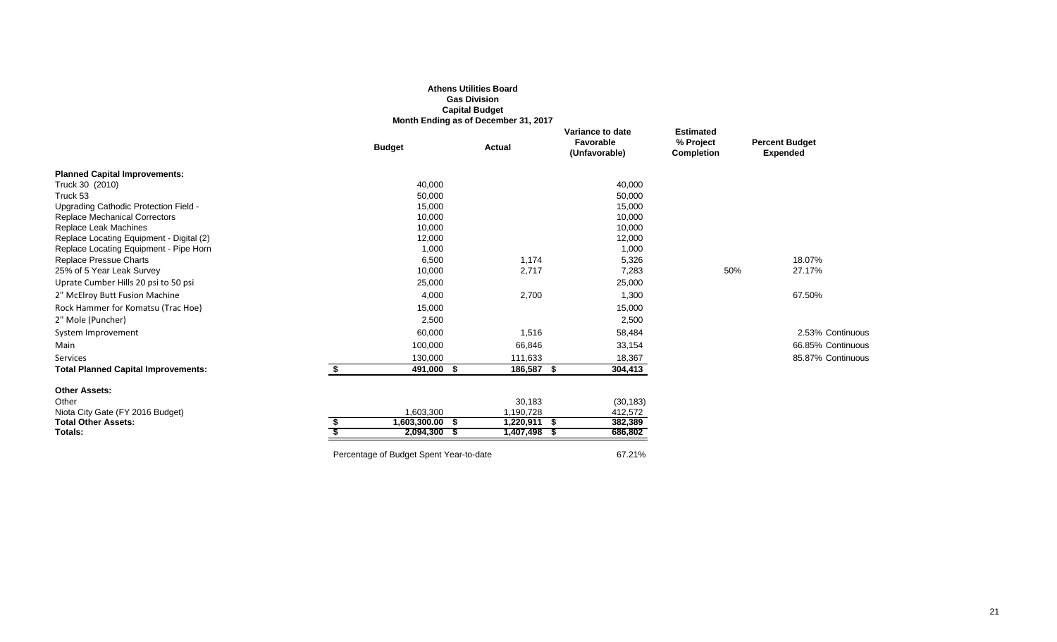|                                            |                                         | <b>Athens Utilities Board</b><br><b>Gas Division</b><br><b>Capital Budget</b> |                                                |                                                    |                                          |
|--------------------------------------------|-----------------------------------------|-------------------------------------------------------------------------------|------------------------------------------------|----------------------------------------------------|------------------------------------------|
|                                            |                                         | Month Ending as of December 31, 2017                                          |                                                |                                                    |                                          |
|                                            | <b>Budget</b>                           | <b>Actual</b>                                                                 | Variance to date<br>Favorable<br>(Unfavorable) | <b>Estimated</b><br>% Project<br><b>Completion</b> | <b>Percent Budget</b><br><b>Expended</b> |
| <b>Planned Capital Improvements:</b>       |                                         |                                                                               |                                                |                                                    |                                          |
| Truck 30 (2010)                            | 40,000                                  |                                                                               | 40,000                                         |                                                    |                                          |
| Truck 53                                   | 50,000                                  |                                                                               | 50,000                                         |                                                    |                                          |
| Upgrading Cathodic Protection Field -      | 15,000                                  |                                                                               | 15,000                                         |                                                    |                                          |
| <b>Replace Mechanical Correctors</b>       | 10,000                                  |                                                                               | 10,000                                         |                                                    |                                          |
| Replace Leak Machines                      | 10,000                                  |                                                                               | 10,000                                         |                                                    |                                          |
| Replace Locating Equipment - Digital (2)   | 12,000                                  |                                                                               | 12,000                                         |                                                    |                                          |
| Replace Locating Equipment - Pipe Horn     | 1,000                                   |                                                                               | 1,000                                          |                                                    |                                          |
| Replace Pressue Charts                     | 6,500                                   | 1,174                                                                         | 5,326                                          |                                                    | 18.07%                                   |
| 25% of 5 Year Leak Survey                  | 10,000                                  | 2,717                                                                         | 7,283                                          | 50%                                                | 27.17%                                   |
| Uprate Cumber Hills 20 psi to 50 psi       | 25,000                                  |                                                                               | 25,000                                         |                                                    |                                          |
| 2" McElroy Butt Fusion Machine             | 4,000                                   | 2,700                                                                         | 1,300                                          |                                                    | 67.50%                                   |
| Rock Hammer for Komatsu (Trac Hoe)         | 15,000                                  |                                                                               | 15,000                                         |                                                    |                                          |
| 2" Mole (Puncher)                          | 2,500                                   |                                                                               | 2,500                                          |                                                    |                                          |
| System Improvement                         | 60,000                                  | 1,516                                                                         | 58,484                                         |                                                    | 2.53% Continuous                         |
| Main                                       | 100,000                                 | 66,846                                                                        | 33,154                                         |                                                    | 66.85% Continuous                        |
| Services                                   | 130,000                                 | 111,633                                                                       | 18,367                                         |                                                    | 85.87% Continuous                        |
| <b>Total Planned Capital Improvements:</b> | \$<br>491,000 \$                        | 186,587 \$                                                                    | 304,413                                        |                                                    |                                          |
| <b>Other Assets:</b>                       |                                         |                                                                               |                                                |                                                    |                                          |
| Other                                      |                                         | 30,183                                                                        | (30, 183)                                      |                                                    |                                          |
| Niota City Gate (FY 2016 Budget)           | 1,603,300                               | 1,190,728                                                                     | 412,572                                        |                                                    |                                          |
| <b>Total Other Assets:</b>                 | $1,603,300.00$ \$                       | $1,220,911$ \$                                                                | 382,389                                        |                                                    |                                          |
| Totals:                                    | 2,094,300 \$                            | 1,407,498 \$                                                                  | 686,802                                        |                                                    |                                          |
|                                            | Percentage of Budget Spent Year-to-date |                                                                               | 67.21%                                         |                                                    |                                          |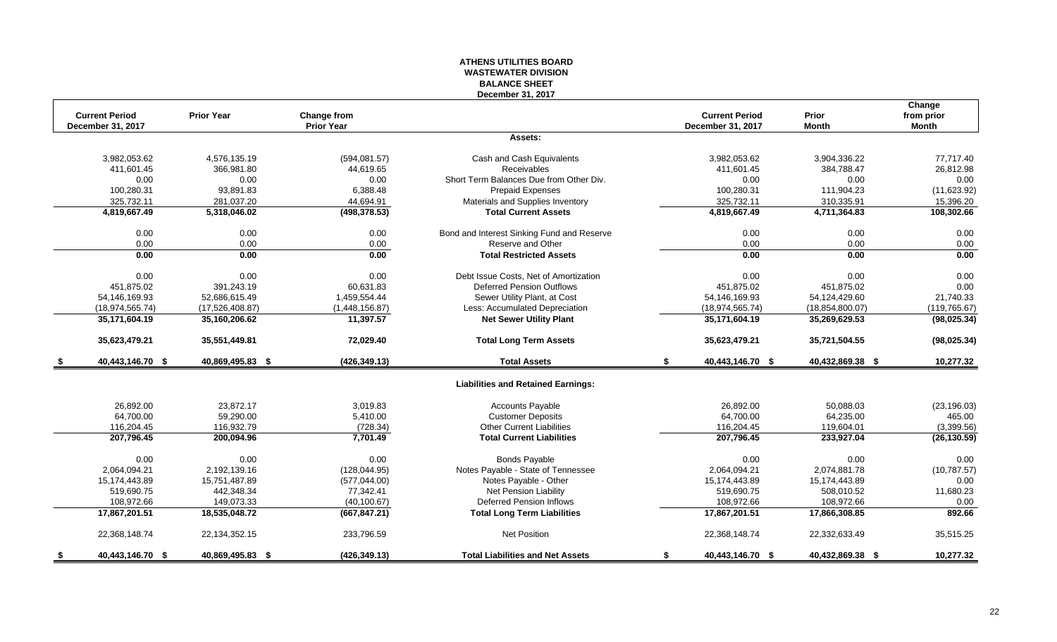#### **ATHENS UTILITIES BOARD WASTEWATER DIVISION BALANCE SHEET December 31, 2017**

|     |                       |                   |                   |                                            |                        |                   | Change        |
|-----|-----------------------|-------------------|-------------------|--------------------------------------------|------------------------|-------------------|---------------|
|     | <b>Current Period</b> | <b>Prior Year</b> | Change from       |                                            | <b>Current Period</b>  | Prior             | from prior    |
|     | December 31, 2017     |                   | <b>Prior Year</b> |                                            | December 31, 2017      | <b>Month</b>      | <b>Month</b>  |
|     |                       |                   |                   | Assets:                                    |                        |                   |               |
|     | 3,982,053.62          | 4.576.135.19      | (594,081.57)      | Cash and Cash Equivalents                  | 3,982,053.62           | 3,904,336.22      | 77.717.40     |
|     | 411,601.45            | 366,981.80        | 44,619.65         | Receivables                                | 411,601.45             | 384,788.47        | 26,812.98     |
|     | 0.00                  | 0.00              | 0.00              | Short Term Balances Due from Other Div.    | 0.00                   | 0.00              | 0.00          |
|     | 100,280.31            | 93,891.83         | 6,388.48          | Prepaid Expenses                           | 100,280.31             | 111,904.23        | (11,623.92)   |
|     | 325,732.11            | 281,037.20        | 44,694.91         | Materials and Supplies Inventory           | 325,732.11             | 310,335.91        | 15,396.20     |
|     | 4,819,667.49          | 5,318,046.02      | (498, 378.53)     | <b>Total Current Assets</b>                | 4,819,667.49           | 4,711,364.83      | 108,302.66    |
|     | 0.00                  | 0.00              | 0.00              | Bond and Interest Sinking Fund and Reserve | 0.00                   | 0.00              | 0.00          |
|     | 0.00                  | 0.00              | 0.00              | Reserve and Other                          | 0.00                   | 0.00              | 0.00          |
|     | 0.00                  | 0.00              | 0.00              | <b>Total Restricted Assets</b>             | 0.00                   | 0.00              | 0.00          |
|     | 0.00                  | 0.00              | 0.00              | Debt Issue Costs. Net of Amortization      | 0.00                   | 0.00              | 0.00          |
|     | 451,875.02            | 391,243.19        | 60,631.83         | <b>Deferred Pension Outflows</b>           | 451,875.02             | 451,875.02        | 0.00          |
|     | 54,146,169.93         | 52,686,615.49     | 1,459,554.44      | Sewer Utility Plant, at Cost               | 54, 146, 169. 93       | 54,124,429.60     | 21,740.33     |
|     | (18, 974, 565.74)     | (17,526,408.87)   | (1,448,156.87)    | Less: Accumulated Depreciation             | (18, 974, 565.74)      | (18, 854, 800.07) | (119, 765.67) |
|     | 35,171,604.19         | 35,160,206.62     | 11,397.57         | <b>Net Sewer Utility Plant</b>             | 35,171,604.19          | 35,269,629.53     | (98, 025.34)  |
|     | 35,623,479.21         | 35,551,449.81     | 72,029.40         | <b>Total Long Term Assets</b>              | 35,623,479.21          | 35,721,504.55     | (98, 025.34)  |
| - 5 | 40,443,146.70 \$      | 40,869,495.83 \$  | (426, 349.13)     | <b>Total Assets</b>                        | 40,443,146.70 \$<br>\$ | 40,432,869.38 \$  | 10,277.32     |
|     |                       |                   |                   | <b>Liabilities and Retained Earnings:</b>  |                        |                   |               |
|     | 26,892.00             | 23,872.17         | 3,019.83          | Accounts Payable                           | 26,892.00              | 50,088.03         | (23, 196.03)  |
|     | 64,700.00             | 59,290.00         | 5,410.00          | <b>Customer Deposits</b>                   | 64,700.00              | 64,235.00         | 465.00        |
|     | 116,204.45            | 116,932.79        | (728.34)          | <b>Other Current Liabilities</b>           | 116,204.45             | 119,604.01        | (3,399.56)    |
|     | 207,796.45            | 200,094.96        | 7,701.49          | <b>Total Current Liabilities</b>           | 207,796.45             | 233,927.04        | (26, 130.59)  |
|     | 0.00                  | 0.00              | 0.00              | <b>Bonds Payable</b>                       | 0.00                   | 0.00              | 0.00          |
|     | 2,064,094.21          | 2,192,139.16      | (128, 044.95)     | Notes Payable - State of Tennessee         | 2,064,094.21           | 2,074,881.78      | (10, 787.57)  |
|     | 15,174,443.89         | 15,751,487.89     | (577, 044.00)     | Notes Payable - Other                      | 15,174,443.89          | 15,174,443.89     | 0.00          |
|     | 519,690.75            | 442,348.34        | 77,342.41         | Net Pension Liability                      | 519,690.75             | 508,010.52        | 11,680.23     |
|     | 108,972.66            | 149,073.33        | (40, 100.67)      | <b>Deferred Pension Inflows</b>            | 108,972.66             | 108,972.66        | 0.00          |
|     | 17,867,201.51         | 18,535,048.72     | (667, 847.21)     | <b>Total Long Term Liabilities</b>         | 17,867,201.51          | 17,866,308.85     | 892.66        |
|     | 22,368,148.74         | 22,134,352.15     | 233,796.59        | Net Position                               | 22,368,148.74          | 22,332,633.49     | 35,515.25     |
| \$  | 40,443,146.70 \$      | 40,869,495.83 \$  | (426, 349.13)     | <b>Total Liabilities and Net Assets</b>    | 40,443,146.70 \$<br>\$ | 40,432,869.38 \$  | 10,277.32     |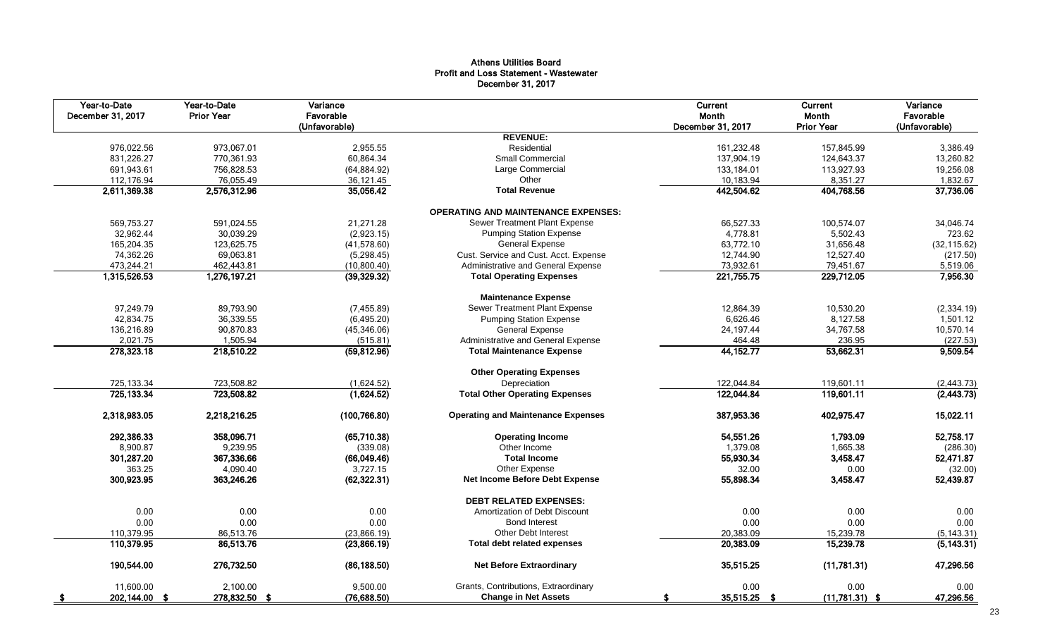#### Athens Utilities Board Profit and Loss Statement - Wastewater December 31, 2017

| Year-to-Date<br>December 31, 2017 | Year-to-Date<br><b>Prior Year</b> | Variance<br>Favorable<br>(Unfavorable) |                                            | Current<br>Month<br>December 31, 2017 | Current<br>Month<br><b>Prior Year</b> | Variance<br>Favorable<br>(Unfavorable) |
|-----------------------------------|-----------------------------------|----------------------------------------|--------------------------------------------|---------------------------------------|---------------------------------------|----------------------------------------|
|                                   |                                   |                                        | <b>REVENUE:</b>                            |                                       |                                       |                                        |
| 976,022.56                        | 973,067.01                        | 2,955.55                               | Residential                                | 161,232.48                            | 157,845.99                            | 3,386.49                               |
| 831,226.27                        | 770,361.93                        | 60,864.34                              | <b>Small Commercial</b>                    | 137,904.19                            | 124,643.37                            | 13,260.82                              |
| 691,943.61                        | 756,828.53                        | (64, 884.92)                           | Large Commercial                           | 133,184.01                            | 113,927.93                            | 19,256.08                              |
| 112,176.94                        | 76,055.49                         | 36,121.45                              | Other                                      | 10,183.94                             | 8,351.27                              | 1,832.67                               |
| 2,611,369.38                      | 2,576,312.96                      | 35,056.42                              | <b>Total Revenue</b>                       | 442,504.62                            | 404,768.56                            | 37,736.06                              |
|                                   |                                   |                                        | <b>OPERATING AND MAINTENANCE EXPENSES:</b> |                                       |                                       |                                        |
| 569,753.27                        | 591,024.55                        | 21,271.28                              | Sewer Treatment Plant Expense              | 66.527.33                             | 100.574.07                            | 34,046.74                              |
| 32,962.44                         | 30,039.29                         | (2,923.15)                             | <b>Pumping Station Expense</b>             | 4,778.81                              | 5,502.43                              | 723.62                                 |
| 165,204.35                        | 123,625.75                        | (41,578.60)                            | <b>General Expense</b>                     | 63,772.10                             | 31,656.48                             | (32, 115.62)                           |
| 74,362.26                         | 69,063.81                         | (5, 298.45)                            | Cust. Service and Cust. Acct. Expense      | 12,744.90                             | 12,527.40                             | (217.50)                               |
| 473,244.21                        | 462,443.81                        | (10,800.40)                            | Administrative and General Expense         | 73,932.61                             | 79,451.67                             | 5,519.06                               |
| 1,315,526.53                      | 1,276,197.21                      | (39, 329.32)                           | <b>Total Operating Expenses</b>            | 221,755.75                            | 229,712.05                            | 7,956.30                               |
|                                   |                                   |                                        | <b>Maintenance Expense</b>                 |                                       |                                       |                                        |
| 97,249.79                         | 89,793.90                         | (7, 455.89)                            | Sewer Treatment Plant Expense              | 12,864.39                             | 10,530.20                             | (2, 334.19)                            |
| 42,834.75                         | 36,339.55                         | (6,495.20)                             | <b>Pumping Station Expense</b>             | 6,626.46                              | 8,127.58                              | 1,501.12                               |
| 136,216.89                        | 90,870.83                         | (45, 346.06)                           | <b>General Expense</b>                     | 24,197.44                             | 34,767.58                             | 10,570.14                              |
| 2,021.75                          | 1,505.94                          | (515.81)                               | Administrative and General Expense         | 464.48                                | 236.95                                | (227.53)                               |
| 278,323.18                        | 218,510.22                        | (59, 812.96)                           | <b>Total Maintenance Expense</b>           | 44,152.77                             | 53,662.31                             | 9,509.54                               |
|                                   |                                   |                                        | <b>Other Operating Expenses</b>            |                                       |                                       |                                        |
| 725,133.34                        | 723,508.82                        | (1,624.52)                             | Depreciation                               | 122,044.84                            | 119,601.11                            | (2, 443.73)                            |
| 725, 133.34                       | 723,508.82                        | (1,624.52)                             | <b>Total Other Operating Expenses</b>      | 122,044.84                            | 119,601.11                            | (2, 443.73)                            |
| 2,318,983.05                      | 2,218,216.25                      | (100, 766.80)                          | <b>Operating and Maintenance Expenses</b>  | 387,953.36                            | 402,975.47                            | 15,022.11                              |
| 292,386.33                        | 358,096.71                        | (65,710.38)                            | <b>Operating Income</b>                    | 54,551.26                             | 1,793.09                              | 52,758.17                              |
| 8,900.87                          | 9,239.95                          | (339.08)                               | Other Income                               | 1,379.08                              | 1,665.38                              | (286.30)                               |
| 301,287.20                        | 367,336.66                        | (66,049.46)                            | <b>Total Income</b>                        | 55,930.34                             | 3,458.47                              | 52,471.87                              |
| 363.25                            | 4,090.40                          | 3,727.15                               | Other Expense                              | 32.00                                 | 0.00                                  | (32.00)                                |
| 300,923.95                        | 363,246.26                        | (62, 322.31)                           | Net Income Before Debt Expense             | 55,898.34                             | 3,458.47                              | 52,439.87                              |
|                                   |                                   |                                        | <b>DEBT RELATED EXPENSES:</b>              |                                       |                                       |                                        |
| 0.00                              | 0.00                              | 0.00                                   | Amortization of Debt Discount              | 0.00                                  | 0.00                                  | 0.00                                   |
| 0.00                              | 0.00                              | 0.00                                   | <b>Bond Interest</b>                       | 0.00                                  | 0.00                                  | 0.00                                   |
| 110,379.95                        | 86,513.76                         | (23,866.19)                            | <b>Other Debt Interest</b>                 | 20,383.09                             | 15,239.78                             | (5, 143.31)                            |
| 110,379.95                        | 86,513.76                         | (23,866.19)                            | Total debt related expenses                | 20,383.09                             | 15,239.78                             | (5, 143.31)                            |
| 190,544.00                        | 276,732.50                        | (86, 188.50)                           | <b>Net Before Extraordinary</b>            | 35,515.25                             | (11,781.31)                           | 47,296.56                              |
| 11.600.00                         | 2.100.00                          | 9,500.00                               | Grants, Contributions, Extraordinary       | 0.00                                  | 0.00                                  | 0.00                                   |
| 202,144.00 \$                     | 278,832.50 \$                     | (76, 688.50)                           | <b>Change in Net Assets</b>                | 35,515.25 \$<br>£.                    | $(11,781.31)$ \$                      | 47,296.56                              |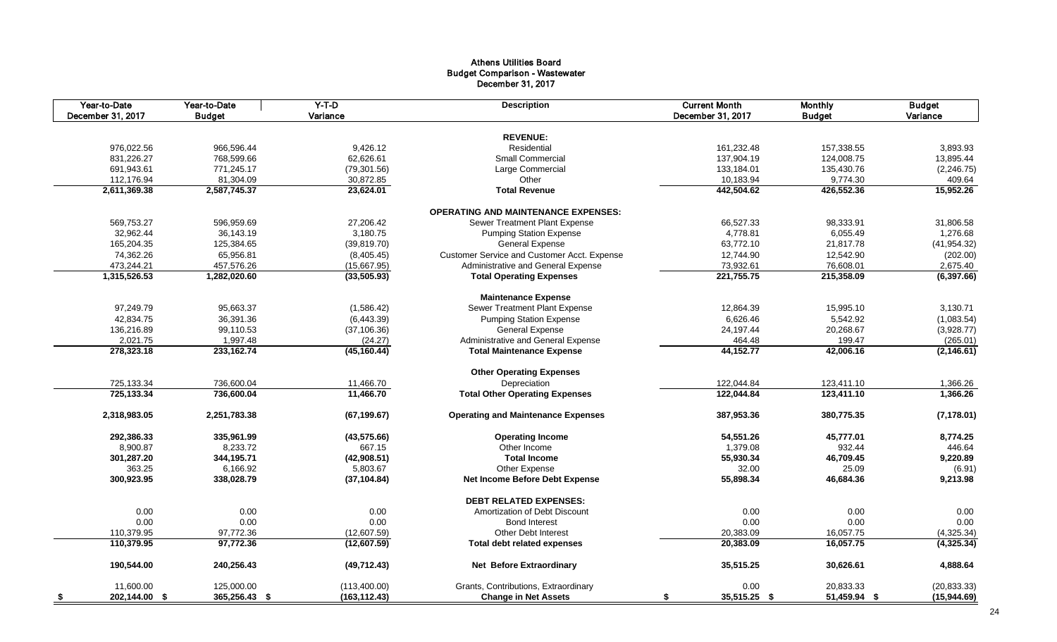#### Athens Utilities Board Budget Comparison - Wastewater December 31, 2017

| Year-to-Date<br>December 31, 2017 | Year-to-Date<br><b>Budget</b> | $Y-T-D$<br>Variance | <b>Description</b>                          | <b>Current Month</b><br>December 31, 2017 | <b>Monthly</b><br><b>Budget</b> | <b>Budget</b><br>Variance |
|-----------------------------------|-------------------------------|---------------------|---------------------------------------------|-------------------------------------------|---------------------------------|---------------------------|
|                                   |                               |                     |                                             |                                           |                                 |                           |
|                                   |                               |                     | <b>REVENUE:</b>                             |                                           |                                 |                           |
| 976,022.56                        | 966,596.44                    | 9,426.12            | Residential                                 | 161,232.48                                | 157,338.55                      | 3,893.93                  |
| 831,226.27                        | 768,599.66                    | 62,626.61           | Small Commercial                            | 137,904.19                                | 124,008.75                      | 13,895.44                 |
| 691,943.61                        | 771,245.17                    | (79, 301.56)        | Large Commercial                            | 133,184.01                                | 135,430.76                      | (2, 246.75)               |
| 112,176.94                        | 81,304.09                     | 30,872.85           | Other                                       | 10,183.94                                 | 9,774.30                        | 409.64                    |
| 2,611,369.38                      | 2,587,745.37                  | 23,624.01           | <b>Total Revenue</b>                        | 442,504.62                                | 426,552.36                      | 15,952.26                 |
|                                   |                               |                     | <b>OPERATING AND MAINTENANCE EXPENSES:</b>  |                                           |                                 |                           |
| 569,753.27                        | 596,959.69                    | 27,206.42           | Sewer Treatment Plant Expense               | 66,527.33                                 | 98,333.91                       | 31,806.58                 |
| 32,962.44                         | 36,143.19                     | 3,180.75            | <b>Pumping Station Expense</b>              | 4,778.81                                  | 6,055.49                        | 1,276.68                  |
| 165,204.35                        | 125,384.65                    | (39, 819.70)        | <b>General Expense</b>                      | 63,772.10                                 | 21,817.78                       | (41, 954.32)              |
| 74,362.26                         | 65,956.81                     | (8,405.45)          | Customer Service and Customer Acct. Expense | 12,744.90                                 | 12,542.90                       | (202.00)                  |
| 473,244.21                        | 457,576.26                    | (15,667.95)         | Administrative and General Expense          | 73,932.61                                 | 76,608.01                       | 2,675.40                  |
| 1,315,526.53                      | 1,282,020.60                  | (33,505.93)         | <b>Total Operating Expenses</b>             | 221,755.75                                | 215,358.09                      | (6, 397.66)               |
|                                   |                               |                     |                                             |                                           |                                 |                           |
|                                   |                               |                     | <b>Maintenance Expense</b>                  |                                           |                                 |                           |
| 97,249.79                         | 95,663.37                     | (1,586.42)          | Sewer Treatment Plant Expense               | 12,864.39                                 | 15,995.10                       | 3,130.71                  |
| 42,834.75                         | 36,391.36                     | (6,443.39)          | <b>Pumping Station Expense</b>              | 6,626.46                                  | 5,542.92                        | (1,083.54)                |
| 136,216.89                        | 99,110.53                     | (37, 106.36)        | <b>General Expense</b>                      | 24,197.44                                 | 20,268.67                       | (3,928.77)                |
| 2,021.75                          | 1,997.48                      | (24.27)             | Administrative and General Expense          | 464.48                                    | 199.47                          | (265.01)                  |
| 278,323.18                        | 233,162.74                    | (45, 160.44)        | <b>Total Maintenance Expense</b>            | 44,152.77                                 | 42,006.16                       | (2, 146.61)               |
|                                   |                               |                     | <b>Other Operating Expenses</b>             |                                           |                                 |                           |
| 725,133.34                        | 736,600.04                    | 11,466.70           | Depreciation                                | 122,044.84                                | 123,411.10                      | 1,366.26                  |
| 725,133.34                        | 736,600.04                    | 11,466.70           | <b>Total Other Operating Expenses</b>       | 122,044.84                                | 123,411.10                      | 1,366.26                  |
| 2,318,983.05                      | 2,251,783.38                  | (67, 199.67)        | <b>Operating and Maintenance Expenses</b>   | 387,953.36                                | 380,775.35                      | (7, 178.01)               |
| 292,386.33                        | 335,961.99                    | (43, 575.66)        | <b>Operating Income</b>                     | 54,551.26                                 | 45,777.01                       | 8,774.25                  |
| 8,900.87                          | 8,233.72                      | 667.15              | Other Income                                | 1,379.08                                  | 932.44                          | 446.64                    |
| 301,287.20                        | 344,195.71                    | (42,908.51)         | <b>Total Income</b>                         | 55,930.34                                 | 46,709.45                       | 9,220.89                  |
| 363.25                            | 6,166.92                      | 5,803.67            | Other Expense                               | 32.00                                     | 25.09                           | (6.91)                    |
| 300,923.95                        | 338,028.79                    | (37, 104.84)        | Net Income Before Debt Expense              | 55,898.34                                 | 46,684.36                       | 9,213.98                  |
|                                   |                               |                     | <b>DEBT RELATED EXPENSES:</b>               |                                           |                                 |                           |
| 0.00                              | 0.00                          | 0.00                | Amortization of Debt Discount               | 0.00                                      | 0.00                            | 0.00                      |
| 0.00                              | 0.00                          | 0.00                | <b>Bond Interest</b>                        | 0.00                                      | 0.00                            | 0.00                      |
| 110,379.95                        | 97,772.36                     | (12,607.59)         | <b>Other Debt Interest</b>                  | 20,383.09                                 | 16,057.75                       | (4,325.34)                |
| 110,379.95                        | 97,772.36                     |                     |                                             |                                           |                                 | (4,325.34)                |
|                                   |                               | (12,607.59)         | Total debt related expenses                 | 20,383.09                                 | 16,057.75                       |                           |
| 190,544.00                        | 240,256.43                    | (49, 712.43)        | <b>Net Before Extraordinary</b>             | 35,515.25                                 | 30,626.61                       | 4,888.64                  |
| 11,600.00                         | 125,000.00                    | (113,400.00)        | Grants, Contributions, Extraordinary        | 0.00                                      | 20,833.33                       | (20, 833.33)              |
| 202,144.00 \$<br>- \$             | 365,256.43 \$                 | (163, 112.43)       | <b>Change in Net Assets</b>                 | 35,515.25 \$<br>\$                        | 51,459.94 \$                    | (15,944.69)               |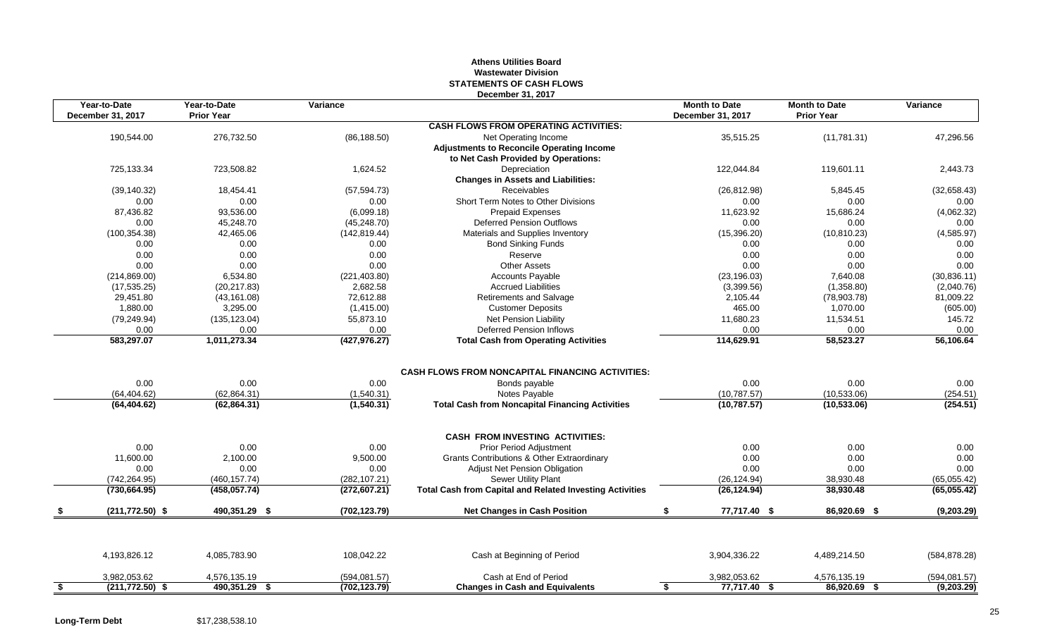#### **Athens Utilities Board Wastewater Division STATEMENTS OF CASH FLOWS December 31, 2017**

|           | Year-to-Date<br>December 31, 2017 | Year-to-Date<br><b>Prior Year</b> | Variance           |                                                                                                                 | <b>Month to Date</b><br>December 31, 2017 | <b>Month to Date</b><br><b>Prior Year</b> | Variance         |
|-----------|-----------------------------------|-----------------------------------|--------------------|-----------------------------------------------------------------------------------------------------------------|-------------------------------------------|-------------------------------------------|------------------|
|           |                                   |                                   |                    | <b>CASH FLOWS FROM OPERATING ACTIVITIES:</b>                                                                    |                                           |                                           |                  |
|           | 190,544.00                        | 276,732.50                        | (86, 188.50)       | Net Operating Income<br><b>Adjustments to Reconcile Operating Income</b><br>to Net Cash Provided by Operations: | 35,515.25                                 | (11,781.31)                               | 47,296.56        |
|           | 725,133.34                        | 723,508.82                        | 1,624.52           | Depreciation                                                                                                    | 122,044.84                                | 119,601.11                                | 2,443.73         |
|           |                                   |                                   |                    | <b>Changes in Assets and Liabilities:</b>                                                                       |                                           |                                           |                  |
|           | (39, 140.32)                      | 18,454.41                         | (57, 594.73)       | Receivables                                                                                                     | (26, 812.98)                              | 5,845.45                                  | (32,658.43)      |
|           | 0.00                              | 0.00                              | 0.00               | Short Term Notes to Other Divisions                                                                             | 0.00                                      | 0.00                                      | 0.00             |
|           | 87,436.82                         | 93,536.00                         | (6,099.18)         | Prepaid Expenses                                                                                                | 11,623.92                                 | 15,686.24                                 | (4,062.32)       |
|           | 0.00                              | 45,248.70                         | (45, 248.70)       | <b>Deferred Pension Outflows</b>                                                                                | 0.00                                      | 0.00                                      | 0.00             |
|           | (100, 354.38)                     | 42,465.06                         | (142, 819.44)      | Materials and Supplies Inventory                                                                                | (15, 396.20)                              | (10, 810.23)                              | (4,585.97)       |
|           | 0.00                              | 0.00                              | 0.00               | <b>Bond Sinking Funds</b>                                                                                       | 0.00                                      | 0.00                                      | 0.00             |
|           | 0.00                              | 0.00                              | 0.00               | Reserve                                                                                                         | 0.00                                      | 0.00                                      | 0.00             |
|           | 0.00                              | 0.00                              | 0.00               | <b>Other Assets</b>                                                                                             | 0.00                                      | 0.00                                      | 0.00             |
|           | (214, 869.00)                     | 6,534.80                          | (221, 403.80)      | <b>Accounts Payable</b>                                                                                         | (23, 196.03)                              | 7,640.08                                  | (30, 836.11)     |
|           | (17, 535.25)                      | (20, 217.83)                      | 2,682.58           | <b>Accrued Liabilities</b>                                                                                      | (3,399.56)                                | (1,358.80)                                | (2,040.76)       |
|           | 29,451.80                         | (43, 161.08)                      | 72,612.88          | Retirements and Salvage                                                                                         | 2,105.44                                  | (78,903.78)                               | 81,009.22        |
|           | 1,880.00                          | 3,295.00                          | (1,415.00)         | <b>Customer Deposits</b>                                                                                        | 465.00                                    | 1.070.00                                  | (605.00)         |
|           | (79, 249.94)                      | (135, 123.04)                     | 55,873.10          | <b>Net Pension Liability</b>                                                                                    | 11,680.23                                 | 11,534.51                                 | 145.72           |
|           | 0.00                              | 0.00                              | 0.00               | <b>Deferred Pension Inflows</b>                                                                                 | 0.00                                      | 0.00                                      | 0.00             |
|           | 583,297.07                        | 1,011,273.34                      | (427, 976.27)      | <b>Total Cash from Operating Activities</b>                                                                     | 114,629.91                                | 58,523.27                                 | 56,106.64        |
|           | 0.00<br>(64, 404.62)              | 0.00<br>(62, 864.31)              | 0.00<br>(1,540.31) | <b>CASH FLOWS FROM NONCAPITAL FINANCING ACTIVITIES:</b><br>Bonds payable<br>Notes Payable                       | 0.00<br>(10,787.57)                       | 0.00<br>(10,533.06)                       | 0.00<br>(254.51) |
|           | (64, 404.62)                      | (62, 864.31)                      | (1,540.31)         | <b>Total Cash from Noncapital Financing Activities</b>                                                          | (10, 787.57)                              | (10, 533.06)                              | (254.51)         |
|           |                                   |                                   |                    | <b>CASH FROM INVESTING ACTIVITIES:</b>                                                                          |                                           |                                           |                  |
|           | 0.00                              | 0.00                              | 0.00               | <b>Prior Period Adjustment</b>                                                                                  | 0.00                                      | 0.00                                      | 0.00             |
|           | 11,600.00                         | 2,100.00                          | 9,500.00           | Grants Contributions & Other Extraordinary                                                                      | 0.00                                      | 0.00                                      | 0.00             |
|           | 0.00                              | 0.00                              | 0.00               | Adjust Net Pension Obligation                                                                                   | 0.00                                      | 0.00                                      | 0.00             |
|           | (742, 264.95)                     | (460, 157.74)                     | (282, 107.21)      | Sewer Utility Plant                                                                                             | (26, 124.94)                              | 38,930.48                                 | (65,055.42)      |
|           | (730, 664.95)                     | (458, 057.74)                     | (272, 607.21)      | <b>Total Cash from Capital and Related Investing Activities</b>                                                 | (26, 124.94)                              | 38,930.48                                 | (65,055.42)      |
|           | $(211, 772.50)$ \$                | 490,351.29 \$                     | (702, 123.79)      | <b>Net Changes in Cash Position</b>                                                                             | 77,717.40 \$<br>\$                        | 86,920.69 \$                              | (9,203.29)       |
|           |                                   |                                   |                    |                                                                                                                 |                                           |                                           |                  |
|           | 4,193,826.12                      | 4,085,783.90                      | 108,042.22         | Cash at Beginning of Period                                                                                     | 3,904,336.22                              | 4,489,214.50                              | (584, 878.28)    |
|           | 3,982,053.62                      | 4,576,135.19                      | (594,081.57)       | Cash at End of Period                                                                                           | 3,982,053.62                              | 4,576,135.19                              | (594,081.57)     |
| <u>\$</u> | $(211, 772.50)$ \$                | 490,351.29 \$                     | (702, 123.79)      | <b>Changes in Cash and Equivalents</b>                                                                          | 77,717.40 \$<br>S.                        | 86,920.69 \$                              | (9,203.29)       |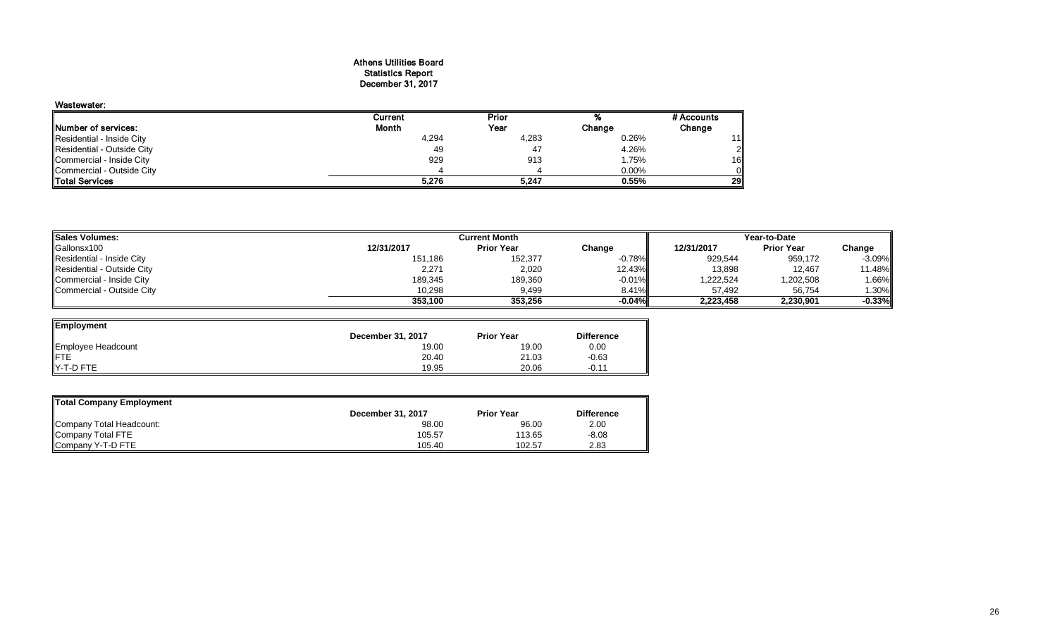#### Athens Utilities Board Statistics Report December 31, 2017

| Wastewater:                |         |       |        |                |
|----------------------------|---------|-------|--------|----------------|
|                            | Current | Prior |        | # Accounts     |
| Number of services:        | Month   | Year  | Change | Change         |
| Residential - Inside City  | 4,294   | 4,283 | 0.26%  | 11             |
| Residential - Outside City | 49      | 47    | 4.26%  | $\overline{2}$ |
| Commercial - Inside City   | 929     | 913   | 1.75%  | 16             |
| Commercial - Outside City  |         |       | 0.00%  |                |
| <b>ITotal Services</b>     | 5.276   | 5.247 | 0.55%  | 29             |

| <b>Sales Volumes:</b>      | <b>Current Month</b> |                   |           | Year-to-Date |                   |           |
|----------------------------|----------------------|-------------------|-----------|--------------|-------------------|-----------|
| Gallonsx100                | 12/31/2017           | <b>Prior Year</b> | Change    | 12/31/2017   | <b>Prior Year</b> | Change    |
| Residential - Inside City  | 151,186              | 152,377           | $-0.78%$  | 929,544      | 959,172           | $-3.09%$  |
| Residential - Outside City | 2,271                | 2,020             | 12.43%    | 13,898       | 12.467            | 11.48%    |
| Commercial - Inside City   | 189,345              | 189,360           | $-0.01\%$ | 1,222,524    | 1,202,508         | 1.66%     |
| Commercial - Outside City  | 10.298               | 9,499             | 8.41%     | 57,492       | 56,754            | $1.30\%$  |
|                            | 353.100              | 353.256           | $-0.04%$  | 2,223,458    | 2,230,901         | $-0.33\%$ |

| Employment         |                   |                   |                   |
|--------------------|-------------------|-------------------|-------------------|
|                    | December 31, 2017 | <b>Prior Year</b> | <b>Difference</b> |
| Employee Headcount | 19.00             | 19.00             | 0.00              |
|                    | 20.40             | 21.03             | $-0.63$           |
| Y-T-D FTE          | 19.95             | 20.06             | $-0.11$           |

| Total Company Employment |                   |                   |                   |  |  |  |  |  |
|--------------------------|-------------------|-------------------|-------------------|--|--|--|--|--|
|                          | December 31, 2017 | <b>Prior Year</b> | <b>Difference</b> |  |  |  |  |  |
| Company Total Headcount: | 98.00             | 96.00             | 2.00              |  |  |  |  |  |
| Company Total FTE        | 105.57            | 113.65            | $-8.08$           |  |  |  |  |  |
| Company Y-T-D FTE        | 105.40            | 102.57            | 2.83              |  |  |  |  |  |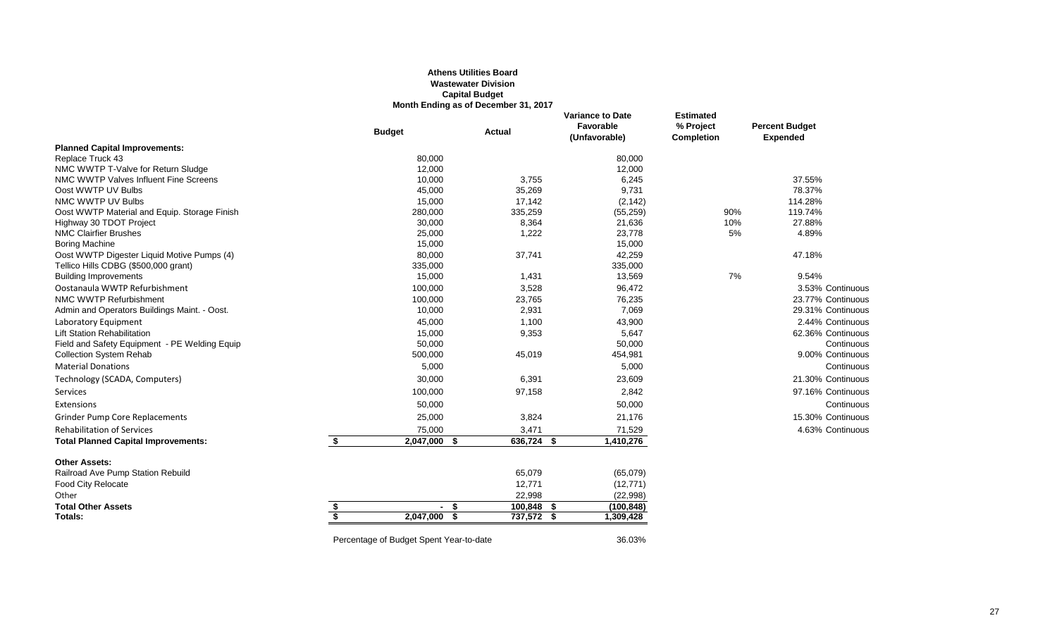#### **Athens Utilities Board Wastewater Division Capital Budget Month Ending as of December 31, 2017**

|                                               | <b>Budget</b>                           |                   | <b>Actual</b>   | <b>Variance to Date</b><br>Favorable<br>(Unfavorable) | <b>Estimated</b><br>% Project<br>Completion | <b>Percent Budget</b><br><b>Expended</b> |
|-----------------------------------------------|-----------------------------------------|-------------------|-----------------|-------------------------------------------------------|---------------------------------------------|------------------------------------------|
| <b>Planned Capital Improvements:</b>          |                                         |                   |                 |                                                       |                                             |                                          |
| Replace Truck 43                              |                                         | 80,000            |                 | 80,000                                                |                                             |                                          |
| NMC WWTP T-Valve for Return Sludge            |                                         | 12,000            |                 | 12,000                                                |                                             |                                          |
| NMC WWTP Valves Influent Fine Screens         |                                         | 10,000            | 3,755           | 6,245                                                 |                                             | 37.55%                                   |
| Oost WWTP UV Bulbs                            |                                         | 45,000            | 35,269          | 9,731                                                 |                                             | 78.37%                                   |
| NMC WWTP UV Bulbs                             |                                         | 15,000            | 17,142          | (2, 142)                                              |                                             | 114.28%                                  |
| Oost WWTP Material and Equip. Storage Finish  |                                         | 280,000           | 335,259         | (55, 259)                                             | 90%                                         | 119.74%                                  |
| Highway 30 TDOT Project                       |                                         | 30,000            | 8,364           | 21,636                                                | 10%                                         | 27.88%                                   |
| <b>NMC Clairfier Brushes</b>                  |                                         | 25,000            | 1,222           | 23,778                                                | 5%                                          | 4.89%                                    |
| <b>Boring Machine</b>                         |                                         | 15,000            |                 | 15,000                                                |                                             |                                          |
| Oost WWTP Digester Liquid Motive Pumps (4)    |                                         | 80,000            | 37,741          | 42,259                                                |                                             | 47.18%                                   |
| Tellico Hills CDBG (\$500,000 grant)          |                                         | 335,000           |                 | 335,000                                               |                                             |                                          |
| <b>Building Improvements</b>                  |                                         | 15,000            | 1,431           | 13,569                                                | 7%                                          | 9.54%                                    |
| Oostanaula WWTP Refurbishment                 |                                         | 100,000           | 3,528           | 96,472                                                |                                             | 3.53% Continuous                         |
| NMC WWTP Refurbishment                        |                                         | 100,000           | 23,765          | 76,235                                                |                                             | 23.77% Continuous                        |
| Admin and Operators Buildings Maint. - Oost.  |                                         | 10,000            | 2,931           | 7,069                                                 |                                             | 29.31% Continuous                        |
| Laboratory Equipment                          |                                         | 45,000            | 1,100           | 43,900                                                |                                             | 2.44% Continuous                         |
| <b>Lift Station Rehabilitation</b>            |                                         | 15,000            | 9,353           | 5,647                                                 |                                             | 62.36% Continuous                        |
| Field and Safety Equipment - PE Welding Equip |                                         | 50,000            |                 | 50,000                                                |                                             | Continuous                               |
| <b>Collection System Rehab</b>                |                                         | 500,000           | 45,019          | 454,981                                               |                                             | 9.00% Continuous                         |
| <b>Material Donations</b>                     |                                         | 5,000             |                 | 5,000                                                 |                                             | Continuous                               |
| Technology (SCADA, Computers)                 |                                         | 30,000            | 6,391           | 23,609                                                |                                             | 21.30% Continuous                        |
| Services                                      |                                         | 100,000           | 97,158          | 2,842                                                 |                                             | 97.16% Continuous                        |
| Extensions                                    |                                         | 50,000            |                 | 50,000                                                |                                             | Continuous                               |
| <b>Grinder Pump Core Replacements</b>         |                                         | 25,000            | 3,824           | 21,176                                                |                                             | 15.30% Continuous                        |
| <b>Rehabilitation of Services</b>             |                                         | 75,000            | 3,471           | 71,529                                                |                                             | 4.63% Continuous                         |
| <b>Total Planned Capital Improvements:</b>    | \$                                      | 2,047,000<br>- \$ | 636,724 \$      | 1,410,276                                             |                                             |                                          |
| <b>Other Assets:</b>                          |                                         |                   |                 |                                                       |                                             |                                          |
| Railroad Ave Pump Station Rebuild             |                                         |                   | 65,079          | (65,079)                                              |                                             |                                          |
| Food City Relocate                            |                                         |                   | 12,771          | (12, 771)                                             |                                             |                                          |
| Other                                         |                                         |                   | 22,998          | (22,998)                                              |                                             |                                          |
| <b>Total Other Assets</b>                     | \$                                      | - \$              | 100,848<br>- \$ | (100, 848)                                            |                                             |                                          |
| Totals:                                       | S                                       | 2,047,000<br>- \$ | 737,572 \$      | 1,309,428                                             |                                             |                                          |
|                                               | Percentage of Budget Spent Year-to-date |                   |                 | 36.03%                                                |                                             |                                          |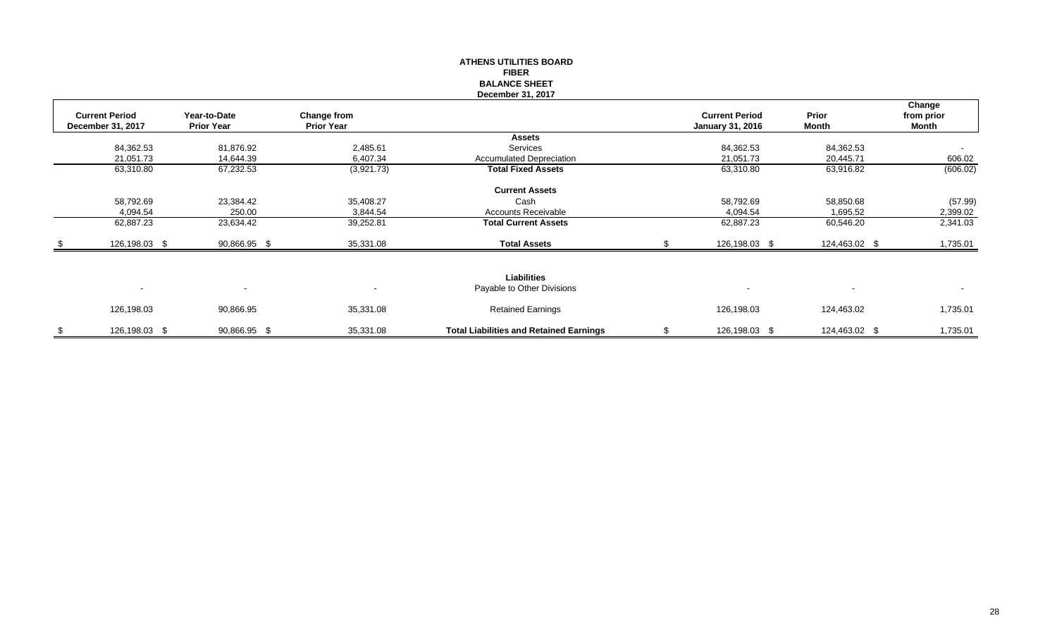|                                            |                                   |                                  | <b>FIBER</b><br><b>BALANCE SHEET</b><br>December 31, 2017 |                                                  |                       |                               |
|--------------------------------------------|-----------------------------------|----------------------------------|-----------------------------------------------------------|--------------------------------------------------|-----------------------|-------------------------------|
| <b>Current Period</b><br>December 31, 2017 | Year-to-Date<br><b>Prior Year</b> | Change from<br><b>Prior Year</b> |                                                           | <b>Current Period</b><br><b>January 31, 2016</b> | Prior<br><b>Month</b> | Change<br>from prior<br>Month |
|                                            |                                   |                                  | <b>Assets</b>                                             |                                                  |                       |                               |
| 84,362.53                                  | 81,876.92                         | 2,485.61                         | Services                                                  | 84,362.53                                        | 84,362.53             | $\overline{\phantom{a}}$      |
| 21,051.73                                  | 14,644.39                         | 6,407.34                         | <b>Accumulated Depreciation</b>                           | 21,051.73                                        | 20,445.71             | 606.02                        |
| 63,310.80                                  | 67,232.53                         | (3,921.73)                       | <b>Total Fixed Assets</b>                                 | 63,310.80                                        | 63,916.82             | (606.02)                      |
|                                            |                                   |                                  | <b>Current Assets</b>                                     |                                                  |                       |                               |
| 58,792.69                                  | 23,384.42                         | 35,408.27                        | Cash                                                      | 58,792.69                                        | 58,850.68             | (57.99)                       |
| 4,094.54                                   | 250.00                            | 3,844.54                         | Accounts Receivable                                       | 4,094.54                                         | 1,695.52              | 2,399.02                      |
| 62,887.23                                  | 23,634.42                         | 39,252.81                        | <b>Total Current Assets</b>                               | 62,887.23                                        | 60,546.20             | 2,341.03                      |
| 126,198.03 \$                              | 90,866.95 \$                      | 35,331.08                        | <b>Total Assets</b>                                       | 126,198.03 \$                                    | 124,463.02 \$         | 1,735.01                      |
| $\blacksquare$                             | $\blacksquare$                    | $\overline{\phantom{a}}$         | <b>Liabilities</b><br>Payable to Other Divisions          | $\overline{\phantom{a}}$                         |                       | $\blacksquare$                |
| 126,198.03                                 | 90,866.95                         | 35,331.08                        | <b>Retained Earnings</b>                                  | 126,198.03                                       | 124,463.02            | 1,735.01                      |
| \$<br>126,198.03 \$                        | 90,866.95 \$                      | 35,331.08                        | <b>Total Liabilities and Retained Earnings</b>            | \$<br>126,198.03 \$                              | 124,463.02 \$         | 1,735.01                      |

**ATHENS UTILITIES BOARD**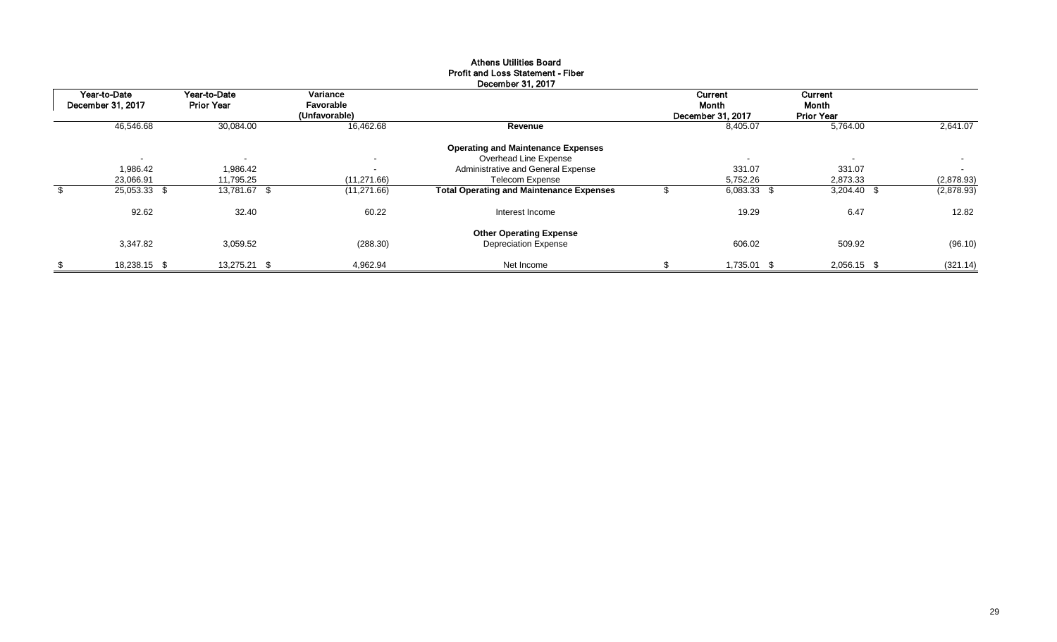|                   |                          |                            | December 31, 2017                               |                            |                            |                          |
|-------------------|--------------------------|----------------------------|-------------------------------------------------|----------------------------|----------------------------|--------------------------|
| Year-to-Date      | Year-to-Date             | Variance                   |                                                 | Current                    | Current                    |                          |
| December 31, 2017 | <b>Prior Year</b>        | Favorable<br>(Unfavorable) |                                                 | Month<br>December 31, 2017 | Month<br><b>Prior Year</b> |                          |
| 46,546.68         | 30,084.00                | 16,462.68                  | Revenue                                         | 8,405.07                   | 5,764.00                   | 2.641.07                 |
|                   |                          |                            | <b>Operating and Maintenance Expenses</b>       |                            |                            |                          |
| $\blacksquare$    | $\overline{\phantom{0}}$ | $\sim$                     | Overhead Line Expense                           | $\blacksquare$             | $\sim$                     | $\overline{\phantom{a}}$ |
| 1,986.42          | 1,986.42                 | $\sim$                     | Administrative and General Expense              | 331.07                     | 331.07                     | $\overline{\phantom{0}}$ |
| 23,066.91         | 11,795.25                | (11, 271.66)               | <b>Telecom Expense</b>                          | 5,752.26                   | 2,873.33                   | (2,878.93)               |
| 25,053.33 \$      | 13,781.67 \$             | (11, 271.66)               | <b>Total Operating and Maintenance Expenses</b> | $6,083.33$ \$              | $3,204.40$ \$              | (2,878.93)               |
| 92.62             | 32.40                    | 60.22                      | Interest Income                                 | 19.29                      | 6.47                       | 12.82                    |
|                   |                          |                            | <b>Other Operating Expense</b>                  |                            |                            |                          |
| 3,347.82          | 3,059.52                 | (288.30)                   | <b>Depreciation Expense</b>                     | 606.02                     | 509.92                     | (96.10)                  |
| 18,238.15 \$      | 13,275.21 \$             | 4,962.94                   | Net Income                                      | 1,735.01 \$                | 2,056.15 \$                | (321.14)                 |

## Athens Utilities Board Profit and Loss Statement - Fiber